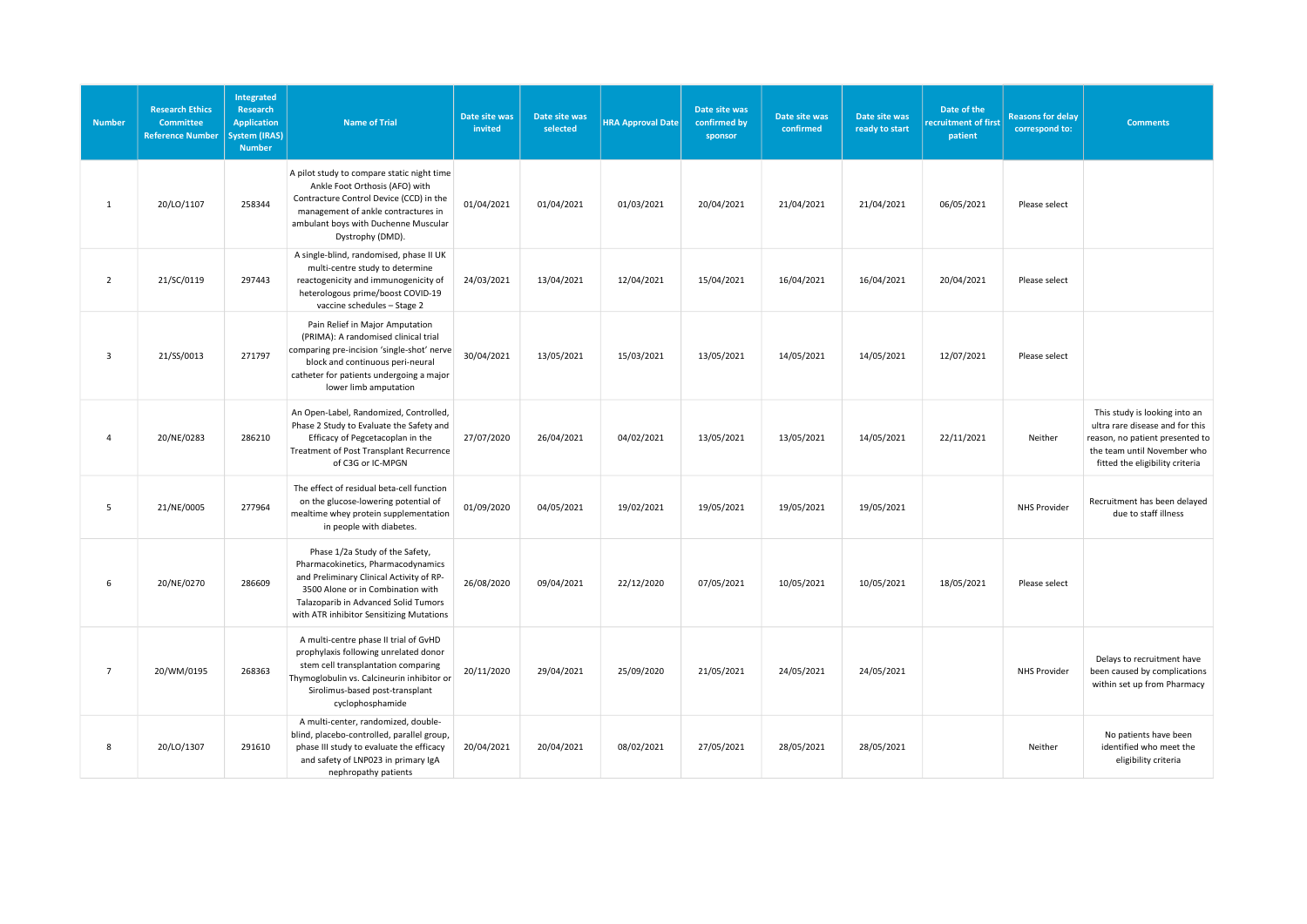| <b>Number</b>           | <b>Research Ethics</b><br><b>Committee</b><br><b>Reference Number</b> | Integrated<br>Research<br><b>Application</b><br><b>System (IRAS)</b><br><b>Number</b> | <b>Name of Trial</b>                                                                                                                                                                                                                       | Date site was<br>invited | Date site was<br>selected | <b>HRA Approval Date</b> | Date site was<br>confirmed by<br>sponsor | Date site was<br>confirmed | Date site was<br>ready to start | Date of the<br>recruitment of first<br>patient | <b>Reasons for delay</b><br>correspond to: | <b>Comments</b>                                                                                                                                                       |
|-------------------------|-----------------------------------------------------------------------|---------------------------------------------------------------------------------------|--------------------------------------------------------------------------------------------------------------------------------------------------------------------------------------------------------------------------------------------|--------------------------|---------------------------|--------------------------|------------------------------------------|----------------------------|---------------------------------|------------------------------------------------|--------------------------------------------|-----------------------------------------------------------------------------------------------------------------------------------------------------------------------|
| 1                       | 20/LO/1107                                                            | 258344                                                                                | A pilot study to compare static night time<br>Ankle Foot Orthosis (AFO) with<br>Contracture Control Device (CCD) in the<br>management of ankle contractures in<br>ambulant boys with Duchenne Muscular<br>Dystrophy (DMD).                 | 01/04/2021               | 01/04/2021                | 01/03/2021               | 20/04/2021                               | 21/04/2021                 | 21/04/2021                      | 06/05/2021                                     | Please select                              |                                                                                                                                                                       |
| $\overline{2}$          | 21/SC/0119                                                            | 297443                                                                                | A single-blind, randomised, phase II UK<br>multi-centre study to determine<br>reactogenicity and immunogenicity of<br>heterologous prime/boost COVID-19<br>vaccine schedules - Stage 2                                                     | 24/03/2021               | 13/04/2021                | 12/04/2021               | 15/04/2021                               | 16/04/2021                 | 16/04/2021                      | 20/04/2021                                     | Please select                              |                                                                                                                                                                       |
| $\overline{\mathbf{3}}$ | 21/SS/0013                                                            | 271797                                                                                | Pain Relief in Major Amputation<br>(PRIMA): A randomised clinical trial<br>comparing pre-incision 'single-shot' nerve<br>block and continuous peri-neural<br>catheter for patients undergoing a major<br>lower limb amputation             | 30/04/2021               | 13/05/2021                | 15/03/2021               | 13/05/2021                               | 14/05/2021                 | 14/05/2021                      | 12/07/2021                                     | Please select                              |                                                                                                                                                                       |
| $\overline{4}$          | 20/NE/0283                                                            | 286210                                                                                | An Open-Label, Randomized, Controlled,<br>Phase 2 Study to Evaluate the Safety and<br>Efficacy of Pegcetacoplan in the<br>Treatment of Post Transplant Recurrence<br>of C3G or IC-MPGN                                                     | 27/07/2020               | 26/04/2021                | 04/02/2021               | 13/05/2021                               | 13/05/2021                 | 14/05/2021                      | 22/11/2021                                     | Neither                                    | This study is looking into an<br>ultra rare disease and for this<br>reason, no patient presented to<br>the team until November who<br>fitted the eligibility criteria |
| 5                       | 21/NE/0005                                                            | 277964                                                                                | The effect of residual beta-cell function<br>on the glucose-lowering potential of<br>mealtime whey protein supplementation<br>in people with diabetes.                                                                                     | 01/09/2020               | 04/05/2021                | 19/02/2021               | 19/05/2021                               | 19/05/2021                 | 19/05/2021                      |                                                | <b>NHS Provider</b>                        | Recruitment has been delayed<br>due to staff illness                                                                                                                  |
| 6                       | 20/NE/0270                                                            | 286609                                                                                | Phase 1/2a Study of the Safety,<br>Pharmacokinetics, Pharmacodynamics<br>and Preliminary Clinical Activity of RP-<br>3500 Alone or in Combination with<br>Talazoparib in Advanced Solid Tumors<br>with ATR inhibitor Sensitizing Mutations | 26/08/2020               | 09/04/2021                | 22/12/2020               | 07/05/2021                               | 10/05/2021                 | 10/05/2021                      | 18/05/2021                                     | Please select                              |                                                                                                                                                                       |
| $\overline{7}$          | 20/WM/0195                                                            | 268363                                                                                | A multi-centre phase II trial of GvHD<br>prophylaxis following unrelated donor<br>stem cell transplantation comparing<br>Thymoglobulin vs. Calcineurin inhibitor or<br>Sirolimus-based post-transplant<br>cyclophosphamide                 | 20/11/2020               | 29/04/2021                | 25/09/2020               | 21/05/2021                               | 24/05/2021                 | 24/05/2021                      |                                                | NHS Provider                               | Delays to recruitment have<br>been caused by complications<br>within set up from Pharmacy                                                                             |
| 8                       | 20/LO/1307                                                            | 291610                                                                                | A multi-center, randomized, double-<br>blind, placebo-controlled, parallel group,<br>phase III study to evaluate the efficacy<br>and safety of LNP023 in primary IgA<br>nephropathy patients                                               | 20/04/2021               | 20/04/2021                | 08/02/2021               | 27/05/2021                               | 28/05/2021                 | 28/05/2021                      |                                                | Neither                                    | No patients have been<br>identified who meet the<br>eligibility criteria                                                                                              |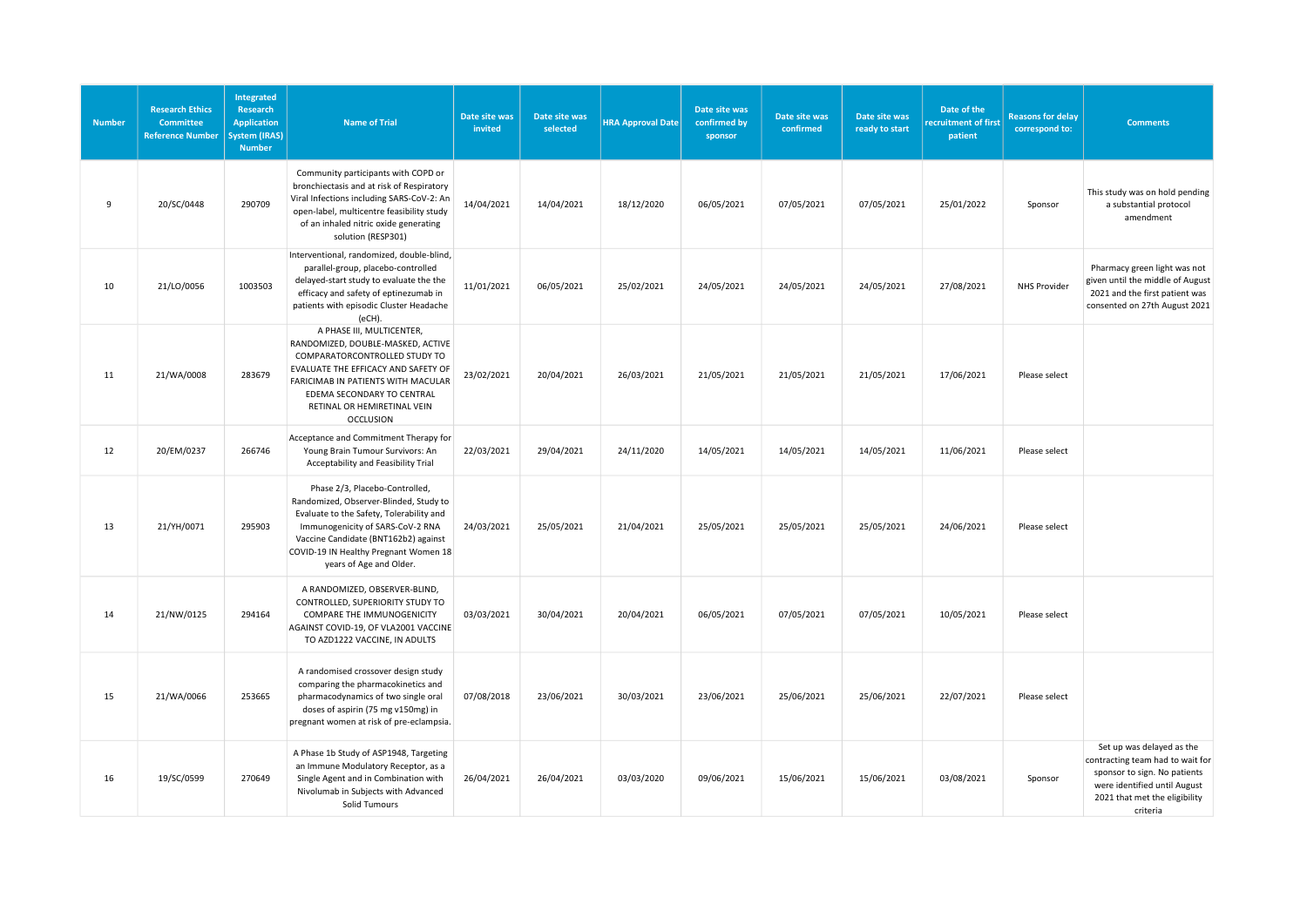| <b>Number</b> | <b>Research Ethics</b><br><b>Committee</b><br><b>Reference Number</b> | Integrated<br>Research<br><b>Application</b><br><b>System (IRAS)</b><br><b>Number</b> | <b>Name of Trial</b>                                                                                                                                                                                                                                                 | Date site was<br>invited | Date site was<br>selected | <b>HRA Approval Date</b> | Date site was<br>confirmed by<br>sponsor | Date site was<br>confirmed | Date site was<br>ready to start | Date of the<br>recruitment of first<br>patient | <b>Reasons for delay</b><br>correspond to: | <b>Comments</b>                                                                                                                                                            |
|---------------|-----------------------------------------------------------------------|---------------------------------------------------------------------------------------|----------------------------------------------------------------------------------------------------------------------------------------------------------------------------------------------------------------------------------------------------------------------|--------------------------|---------------------------|--------------------------|------------------------------------------|----------------------------|---------------------------------|------------------------------------------------|--------------------------------------------|----------------------------------------------------------------------------------------------------------------------------------------------------------------------------|
| 9             | 20/SC/0448                                                            | 290709                                                                                | Community participants with COPD or<br>bronchiectasis and at risk of Respiratory<br>Viral Infections including SARS-CoV-2: An<br>open-label, multicentre feasibility study<br>of an inhaled nitric oxide generating<br>solution (RESP301)                            | 14/04/2021               | 14/04/2021                | 18/12/2020               | 06/05/2021                               | 07/05/2021                 | 07/05/2021                      | 25/01/2022                                     | Sponsor                                    | This study was on hold pending<br>a substantial protocol<br>amendment                                                                                                      |
| 10            | 21/LO/0056                                                            | 1003503                                                                               | Interventional, randomized, double-blind,<br>parallel-group, placebo-controlled<br>delayed-start study to evaluate the the<br>efficacy and safety of eptinezumab in<br>patients with episodic Cluster Headache<br>(eCH).                                             | 11/01/2021               | 06/05/2021                | 25/02/2021               | 24/05/2021                               | 24/05/2021                 | 24/05/2021                      | 27/08/2021                                     | <b>NHS Provider</b>                        | Pharmacy green light was not<br>given until the middle of August<br>2021 and the first patient was<br>consented on 27th August 2021                                        |
| 11            | 21/WA/0008                                                            | 283679                                                                                | A PHASE III, MULTICENTER,<br>RANDOMIZED, DOUBLE-MASKED, ACTIVE<br>COMPARATORCONTROLLED STUDY TO<br>EVALUATE THE EFFICACY AND SAFETY OF<br>FARICIMAB IN PATIENTS WITH MACULAR<br>EDEMA SECONDARY TO CENTRAL<br>RETINAL OR HEMIRETINAL VEIN<br><b>OCCLUSION</b>        | 23/02/2021               | 20/04/2021                | 26/03/2021               | 21/05/2021                               | 21/05/2021                 | 21/05/2021                      | 17/06/2021                                     | Please select                              |                                                                                                                                                                            |
| 12            | 20/EM/0237                                                            | 266746                                                                                | Acceptance and Commitment Therapy for<br>Young Brain Tumour Survivors: An<br>Acceptability and Feasibility Trial                                                                                                                                                     | 22/03/2021               | 29/04/2021                | 24/11/2020               | 14/05/2021                               | 14/05/2021                 | 14/05/2021                      | 11/06/2021                                     | Please select                              |                                                                                                                                                                            |
| 13            | 21/YH/0071                                                            | 295903                                                                                | Phase 2/3, Placebo-Controlled,<br>Randomized, Observer-Blinded, Study to<br>Evaluate to the Safety, Tolerability and<br>Immunogenicity of SARS-CoV-2 RNA<br>Vaccine Candidate (BNT162b2) against<br>COVID-19 IN Healthy Pregnant Women 18<br>years of Age and Older. | 24/03/2021               | 25/05/2021                | 21/04/2021               | 25/05/2021                               | 25/05/2021                 | 25/05/2021                      | 24/06/2021                                     | Please select                              |                                                                                                                                                                            |
| 14            | 21/NW/0125                                                            | 294164                                                                                | A RANDOMIZED, OBSERVER-BLIND,<br>CONTROLLED, SUPERIORITY STUDY TO<br>COMPARE THE IMMUNOGENICITY<br>AGAINST COVID-19, OF VLA2001 VACCINE<br>TO AZD1222 VACCINE, IN ADULTS                                                                                             | 03/03/2021               | 30/04/2021                | 20/04/2021               | 06/05/2021                               | 07/05/2021                 | 07/05/2021                      | 10/05/2021                                     | Please select                              |                                                                                                                                                                            |
| 15            | 21/WA/0066                                                            | 253665                                                                                | A randomised crossover design study<br>comparing the pharmacokinetics and<br>pharmacodynamics of two single oral<br>doses of aspirin (75 mg v150mg) in<br>pregnant women at risk of pre-eclampsia.                                                                   | 07/08/2018               | 23/06/2021                | 30/03/2021               | 23/06/2021                               | 25/06/2021                 | 25/06/2021                      | 22/07/2021                                     | Please select                              |                                                                                                                                                                            |
| 16            | 19/SC/0599                                                            | 270649                                                                                | A Phase 1b Study of ASP1948, Targeting<br>an Immune Modulatory Receptor, as a<br>Single Agent and in Combination with<br>Nivolumab in Subjects with Advanced<br>Solid Tumours                                                                                        | 26/04/2021               | 26/04/2021                | 03/03/2020               | 09/06/2021                               | 15/06/2021                 | 15/06/2021                      | 03/08/2021                                     | Sponsor                                    | Set up was delayed as the<br>contracting team had to wait for<br>sponsor to sign. No patients<br>were identified until August<br>2021 that met the eligibility<br>criteria |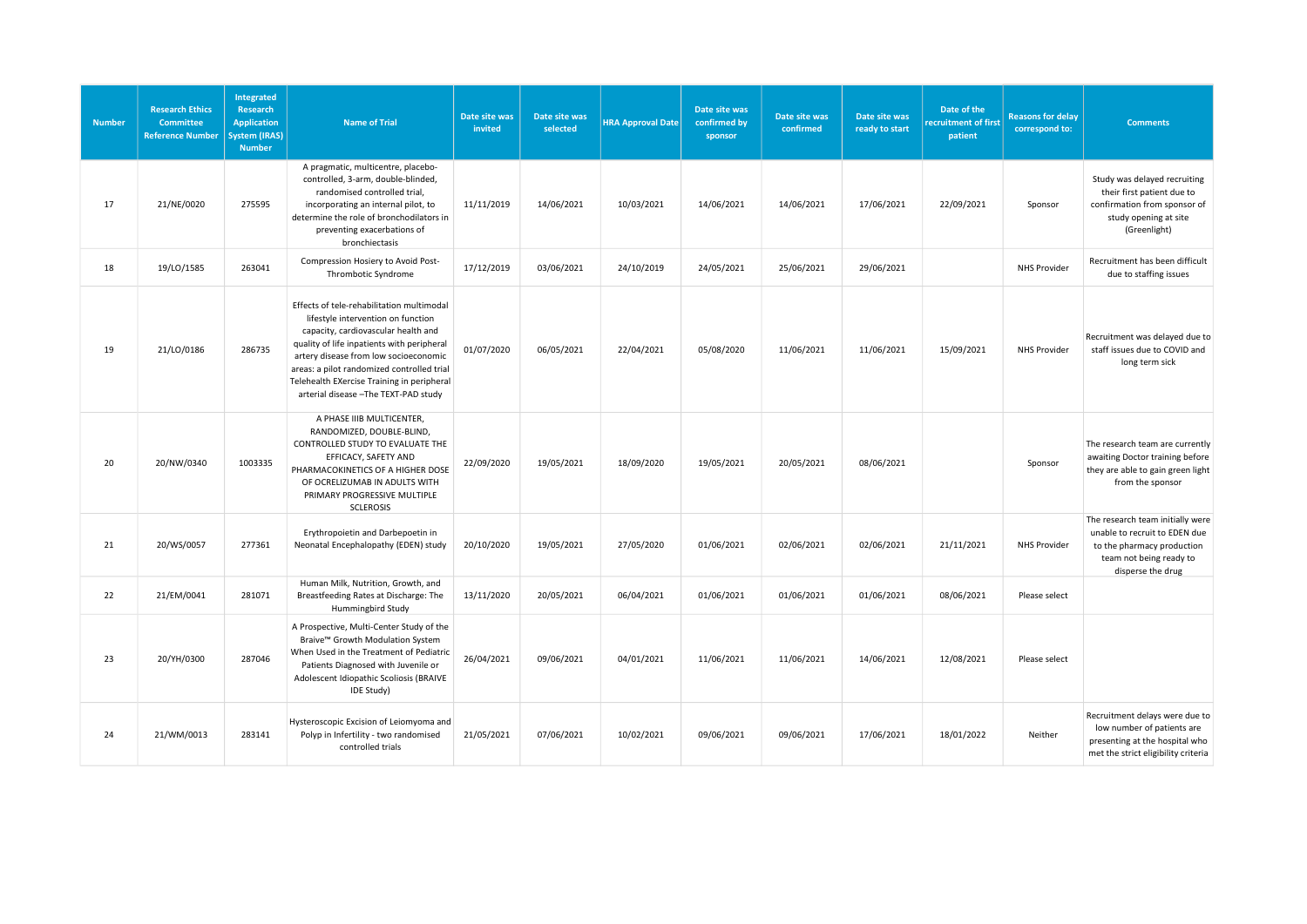| <b>Number</b> | <b>Research Ethics</b><br>Committee<br><b>Reference Number</b> | Integrated<br><b>Research</b><br><b>Application</b><br><b>System (IRAS)</b><br><b>Number</b> | <b>Name of Trial</b>                                                                                                                                                                                                                                                                                                                               | Date site was<br>invited | Date site was<br>selected | <b>HRA Approval Date</b> | Date site was<br>confirmed by<br>sponsor | Date site was<br>confirmed | Date site was<br>ready to start | Date of the<br>recruitment of first<br>patient | <b>Reasons for delay</b><br>correspond to: | <b>Comments</b>                                                                                                                                 |
|---------------|----------------------------------------------------------------|----------------------------------------------------------------------------------------------|----------------------------------------------------------------------------------------------------------------------------------------------------------------------------------------------------------------------------------------------------------------------------------------------------------------------------------------------------|--------------------------|---------------------------|--------------------------|------------------------------------------|----------------------------|---------------------------------|------------------------------------------------|--------------------------------------------|-------------------------------------------------------------------------------------------------------------------------------------------------|
| 17            | 21/NE/0020                                                     | 275595                                                                                       | A pragmatic, multicentre, placebo-<br>controlled, 3-arm, double-blinded,<br>randomised controlled trial,<br>incorporating an internal pilot, to<br>determine the role of bronchodilators in<br>preventing exacerbations of<br>bronchiectasis                                                                                                       | 11/11/2019               | 14/06/2021                | 10/03/2021               | 14/06/2021                               | 14/06/2021                 | 17/06/2021                      | 22/09/2021                                     | Sponsor                                    | Study was delayed recruiting<br>their first patient due to<br>confirmation from sponsor of<br>study opening at site<br>(Greenlight)             |
| 18            | 19/LO/1585                                                     | 263041                                                                                       | Compression Hosiery to Avoid Post-<br>Thrombotic Syndrome                                                                                                                                                                                                                                                                                          | 17/12/2019               | 03/06/2021                | 24/10/2019               | 24/05/2021                               | 25/06/2021                 | 29/06/2021                      |                                                | NHS Provider                               | Recruitment has been difficult<br>due to staffing issues                                                                                        |
| 19            | 21/LO/0186                                                     | 286735                                                                                       | Effects of tele-rehabilitation multimodal<br>lifestyle intervention on function<br>capacity, cardiovascular health and<br>quality of life inpatients with peripheral<br>artery disease from low socioeconomic<br>areas: a pilot randomized controlled trial<br>Telehealth EXercise Training in peripheral<br>arterial disease - The TEXT-PAD study | 01/07/2020               | 06/05/2021                | 22/04/2021               | 05/08/2020                               | 11/06/2021                 | 11/06/2021                      | 15/09/2021                                     | <b>NHS Provider</b>                        | Recruitment was delayed due to<br>staff issues due to COVID and<br>long term sick                                                               |
| 20            | 20/NW/0340                                                     | 1003335                                                                                      | A PHASE IIIB MULTICENTER,<br>RANDOMIZED, DOUBLE-BLIND,<br>CONTROLLED STUDY TO EVALUATE THE<br>EFFICACY, SAFETY AND<br>PHARMACOKINETICS OF A HIGHER DOSE<br>OF OCRELIZUMAB IN ADULTS WITH<br>PRIMARY PROGRESSIVE MULTIPLE<br><b>SCLEROSIS</b>                                                                                                       | 22/09/2020               | 19/05/2021                | 18/09/2020               | 19/05/2021                               | 20/05/2021                 | 08/06/2021                      |                                                | Sponsor                                    | The research team are currently<br>awaiting Doctor training before<br>they are able to gain green light<br>from the sponsor                     |
| 21            | 20/WS/0057                                                     | 277361                                                                                       | Erythropoietin and Darbepoetin in<br>Neonatal Encephalopathy (EDEN) study                                                                                                                                                                                                                                                                          | 20/10/2020               | 19/05/2021                | 27/05/2020               | 01/06/2021                               | 02/06/2021                 | 02/06/2021                      | 21/11/2021                                     | <b>NHS Provider</b>                        | The research team initially were<br>unable to recruit to EDEN due<br>to the pharmacy production<br>team not being ready to<br>disperse the drug |
| 22            | 21/EM/0041                                                     | 281071                                                                                       | Human Milk, Nutrition, Growth, and<br>Breastfeeding Rates at Discharge: The<br>Hummingbird Study                                                                                                                                                                                                                                                   | 13/11/2020               | 20/05/2021                | 06/04/2021               | 01/06/2021                               | 01/06/2021                 | 01/06/2021                      | 08/06/2021                                     | Please select                              |                                                                                                                                                 |
| 23            | 20/YH/0300                                                     | 287046                                                                                       | A Prospective, Multi-Center Study of the<br>Braive™ Growth Modulation System<br>When Used in the Treatment of Pediatric<br>Patients Diagnosed with Juvenile or<br>Adolescent Idiopathic Scoliosis (BRAIVE<br>IDE Study)                                                                                                                            | 26/04/2021               | 09/06/2021                | 04/01/2021               | 11/06/2021                               | 11/06/2021                 | 14/06/2021                      | 12/08/2021                                     | Please select                              |                                                                                                                                                 |
| 24            | 21/WM/0013                                                     | 283141                                                                                       | Hysteroscopic Excision of Leiomyoma and<br>Polyp in Infertility - two randomised<br>controlled trials                                                                                                                                                                                                                                              | 21/05/2021               | 07/06/2021                | 10/02/2021               | 09/06/2021                               | 09/06/2021                 | 17/06/2021                      | 18/01/2022                                     | Neither                                    | Recruitment delays were due to<br>low number of patients are<br>presenting at the hospital who<br>met the strict eligibility criteria           |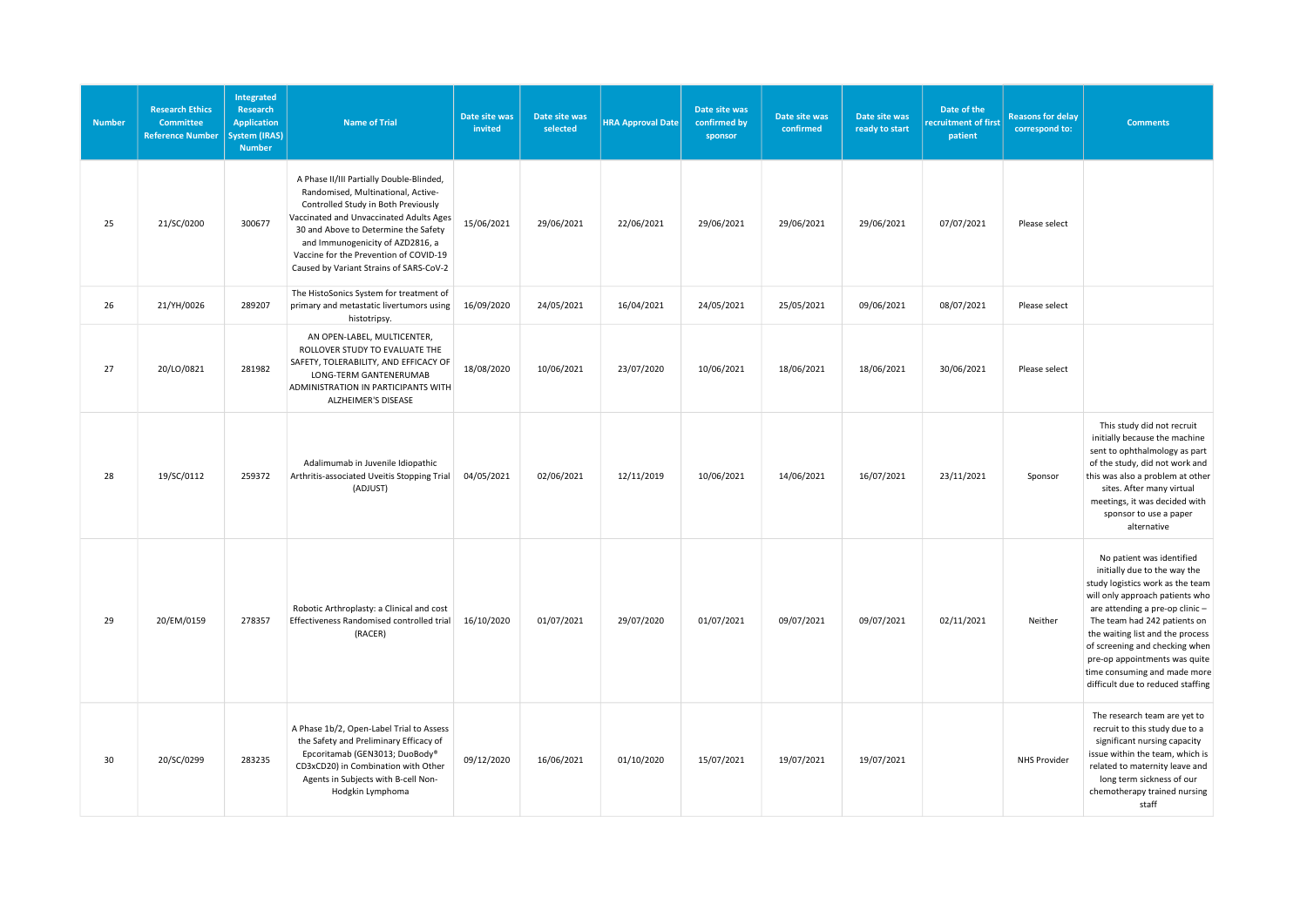| <b>Number</b> | <b>Research Ethics</b><br><b>Committee</b><br><b>Reference Number</b> | Integrated<br>Research<br><b>Application</b><br><b>System (IRAS)</b><br><b>Number</b> | <b>Name of Trial</b>                                                                                                                                                                                                                                                                                                              | Date site was<br>invited | Date site was<br>selected | <b>HRA Approval Date</b> | Date site was<br>confirmed by<br>sponsor | Date site was<br>confirmed | Date site was<br>ready to start | Date of the<br>recruitment of first<br>patient | <b>Reasons for delay</b><br>correspond to: | <b>Comments</b>                                                                                                                                                                                                                                                                                                                                                                 |
|---------------|-----------------------------------------------------------------------|---------------------------------------------------------------------------------------|-----------------------------------------------------------------------------------------------------------------------------------------------------------------------------------------------------------------------------------------------------------------------------------------------------------------------------------|--------------------------|---------------------------|--------------------------|------------------------------------------|----------------------------|---------------------------------|------------------------------------------------|--------------------------------------------|---------------------------------------------------------------------------------------------------------------------------------------------------------------------------------------------------------------------------------------------------------------------------------------------------------------------------------------------------------------------------------|
| 25            | 21/SC/0200                                                            | 300677                                                                                | A Phase II/III Partially Double-Blinded,<br>Randomised, Multinational, Active-<br>Controlled Study in Both Previously<br>Vaccinated and Unvaccinated Adults Ages<br>30 and Above to Determine the Safety<br>and Immunogenicity of AZD2816, a<br>Vaccine for the Prevention of COVID-19<br>Caused by Variant Strains of SARS-CoV-2 | 15/06/2021               | 29/06/2021                | 22/06/2021               | 29/06/2021                               | 29/06/2021                 | 29/06/2021                      | 07/07/2021                                     | Please select                              |                                                                                                                                                                                                                                                                                                                                                                                 |
| 26            | 21/YH/0026                                                            | 289207                                                                                | The HistoSonics System for treatment of<br>primary and metastatic livertumors using<br>histotripsy.                                                                                                                                                                                                                               | 16/09/2020               | 24/05/2021                | 16/04/2021               | 24/05/2021                               | 25/05/2021                 | 09/06/2021                      | 08/07/2021                                     | Please select                              |                                                                                                                                                                                                                                                                                                                                                                                 |
| 27            | 20/LO/0821                                                            | 281982                                                                                | AN OPEN-LABEL, MULTICENTER,<br>ROLLOVER STUDY TO EVALUATE THE<br>SAFETY, TOLERABILITY, AND EFFICACY OF<br>LONG-TERM GANTENERUMAB<br>ADMINISTRATION IN PARTICIPANTS WITH<br>ALZHEIMER'S DISEASE                                                                                                                                    | 18/08/2020               | 10/06/2021                | 23/07/2020               | 10/06/2021                               | 18/06/2021                 | 18/06/2021                      | 30/06/2021                                     | Please select                              |                                                                                                                                                                                                                                                                                                                                                                                 |
| 28            | 19/SC/0112                                                            | 259372                                                                                | Adalimumab in Juvenile Idiopathic<br>Arthritis-associated Uveitis Stopping Trial<br>(ADJUST)                                                                                                                                                                                                                                      | 04/05/2021               | 02/06/2021                | 12/11/2019               | 10/06/2021                               | 14/06/2021                 | 16/07/2021                      | 23/11/2021                                     | Sponsor                                    | This study did not recruit<br>initially because the machine<br>sent to ophthalmology as part<br>of the study, did not work and<br>this was also a problem at other<br>sites. After many virtual<br>meetings, it was decided with<br>sponsor to use a paper<br>alternative                                                                                                       |
| 29            | 20/EM/0159                                                            | 278357                                                                                | Robotic Arthroplasty: a Clinical and cost<br>Effectiveness Randomised controlled trial<br>(RACER)                                                                                                                                                                                                                                 | 16/10/2020               | 01/07/2021                | 29/07/2020               | 01/07/2021                               | 09/07/2021                 | 09/07/2021                      | 02/11/2021                                     | Neither                                    | No patient was identified<br>initially due to the way the<br>study logistics work as the team<br>will only approach patients who<br>are attending a pre-op clinic -<br>The team had 242 patients on<br>the waiting list and the process<br>of screening and checking when<br>pre-op appointments was quite<br>time consuming and made more<br>difficult due to reduced staffing |
| 30            | 20/SC/0299                                                            | 283235                                                                                | A Phase 1b/2, Open-Label Trial to Assess<br>the Safety and Preliminary Efficacy of<br>Epcoritamab (GEN3013; DuoBody®<br>CD3xCD20) in Combination with Other<br>Agents in Subjects with B-cell Non-<br>Hodgkin Lymphoma                                                                                                            | 09/12/2020               | 16/06/2021                | 01/10/2020               | 15/07/2021                               | 19/07/2021                 | 19/07/2021                      |                                                | NHS Provider                               | The research team are yet to<br>recruit to this study due to a<br>significant nursing capacity<br>issue within the team, which is<br>related to maternity leave and<br>long term sickness of our<br>chemotherapy trained nursing<br>staff                                                                                                                                       |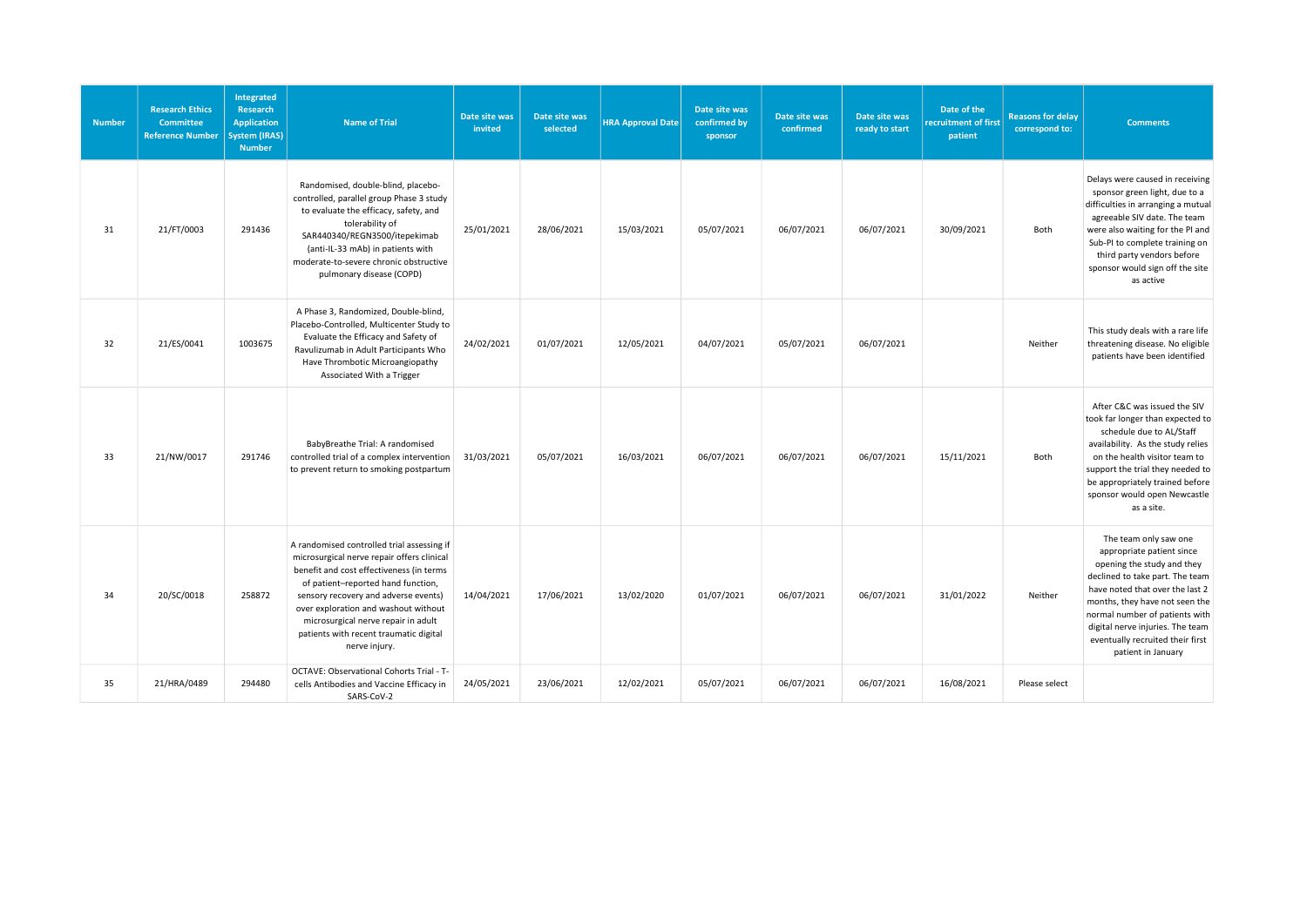| <b>Number</b> | <b>Research Ethics</b><br><b>Committee</b><br><b>Reference Number</b> | Integrated<br>Research<br><b>Application</b><br><b>System (IRAS)</b><br><b>Number</b> | <b>Name of Trial</b>                                                                                                                                                                                                                                                                                                                                         | Date site was<br>invited | Date site was<br>selected | <b>HRA Approval Date</b> | Date site was<br>confirmed by<br>sponsor | Date site was<br>confirmed | Date site was<br>ready to start | Date of the<br>recruitment of first<br>patient | <b>Reasons for delay</b><br>correspond to: | <b>Comments</b>                                                                                                                                                                                                                                                                                                          |
|---------------|-----------------------------------------------------------------------|---------------------------------------------------------------------------------------|--------------------------------------------------------------------------------------------------------------------------------------------------------------------------------------------------------------------------------------------------------------------------------------------------------------------------------------------------------------|--------------------------|---------------------------|--------------------------|------------------------------------------|----------------------------|---------------------------------|------------------------------------------------|--------------------------------------------|--------------------------------------------------------------------------------------------------------------------------------------------------------------------------------------------------------------------------------------------------------------------------------------------------------------------------|
| 31            | 21/FT/0003                                                            | 291436                                                                                | Randomised, double-blind, placebo-<br>controlled, parallel group Phase 3 study<br>to evaluate the efficacy, safety, and<br>tolerability of<br>SAR440340/REGN3500/itepekimab<br>(anti-IL-33 mAb) in patients with<br>moderate-to-severe chronic obstructive<br>pulmonary disease (COPD)                                                                       | 25/01/2021               | 28/06/2021                | 15/03/2021               | 05/07/2021                               | 06/07/2021                 | 06/07/2021                      | 30/09/2021                                     | Both                                       | Delays were caused in receiving<br>sponsor green light, due to a<br>difficulties in arranging a mutual<br>agreeable SIV date. The team<br>were also waiting for the PI and<br>Sub-PI to complete training on<br>third party vendors before<br>sponsor would sign off the site<br>as active                               |
| 32            | 21/ES/0041                                                            | 1003675                                                                               | A Phase 3, Randomized, Double-blind,<br>Placebo-Controlled, Multicenter Study to<br>Evaluate the Efficacy and Safety of<br>Ravulizumab in Adult Participants Who<br>Have Thrombotic Microangiopathy<br>Associated With a Trigger                                                                                                                             | 24/02/2021               | 01/07/2021                | 12/05/2021               | 04/07/2021                               | 05/07/2021                 | 06/07/2021                      |                                                | Neither                                    | This study deals with a rare life<br>threatening disease. No eligible<br>patients have been identified                                                                                                                                                                                                                   |
| 33            | 21/NW/0017                                                            | 291746                                                                                | BabyBreathe Trial: A randomised<br>controlled trial of a complex intervention<br>to prevent return to smoking postpartum                                                                                                                                                                                                                                     | 31/03/2021               | 05/07/2021                | 16/03/2021               | 06/07/2021                               | 06/07/2021                 | 06/07/2021                      | 15/11/2021                                     | Both                                       | After C&C was issued the SIV<br>took far longer than expected to<br>schedule due to AL/Staff<br>availability. As the study relies<br>on the health visitor team to<br>support the trial they needed to<br>be appropriately trained before<br>sponsor would open Newcastle<br>as a site.                                  |
| 34            | 20/SC/0018                                                            | 258872                                                                                | A randomised controlled trial assessing if<br>microsurgical nerve repair offers clinical<br>benefit and cost effectiveness (in terms<br>of patient-reported hand function,<br>sensory recovery and adverse events)<br>over exploration and washout without<br>microsurgical nerve repair in adult<br>patients with recent traumatic digital<br>nerve injury. | 14/04/2021               | 17/06/2021                | 13/02/2020               | 01/07/2021                               | 06/07/2021                 | 06/07/2021                      | 31/01/2022                                     | Neither                                    | The team only saw one<br>appropriate patient since<br>opening the study and they<br>declined to take part. The team<br>have noted that over the last 2<br>months, they have not seen the<br>normal number of patients with<br>digital nerve injuries. The team<br>eventually recruited their first<br>patient in January |
| 35            | 21/HRA/0489                                                           | 294480                                                                                | OCTAVE: Observational Cohorts Trial - T-<br>cells Antibodies and Vaccine Efficacy in<br>SARS-CoV-2                                                                                                                                                                                                                                                           | 24/05/2021               | 23/06/2021                | 12/02/2021               | 05/07/2021                               | 06/07/2021                 | 06/07/2021                      | 16/08/2021                                     | Please select                              |                                                                                                                                                                                                                                                                                                                          |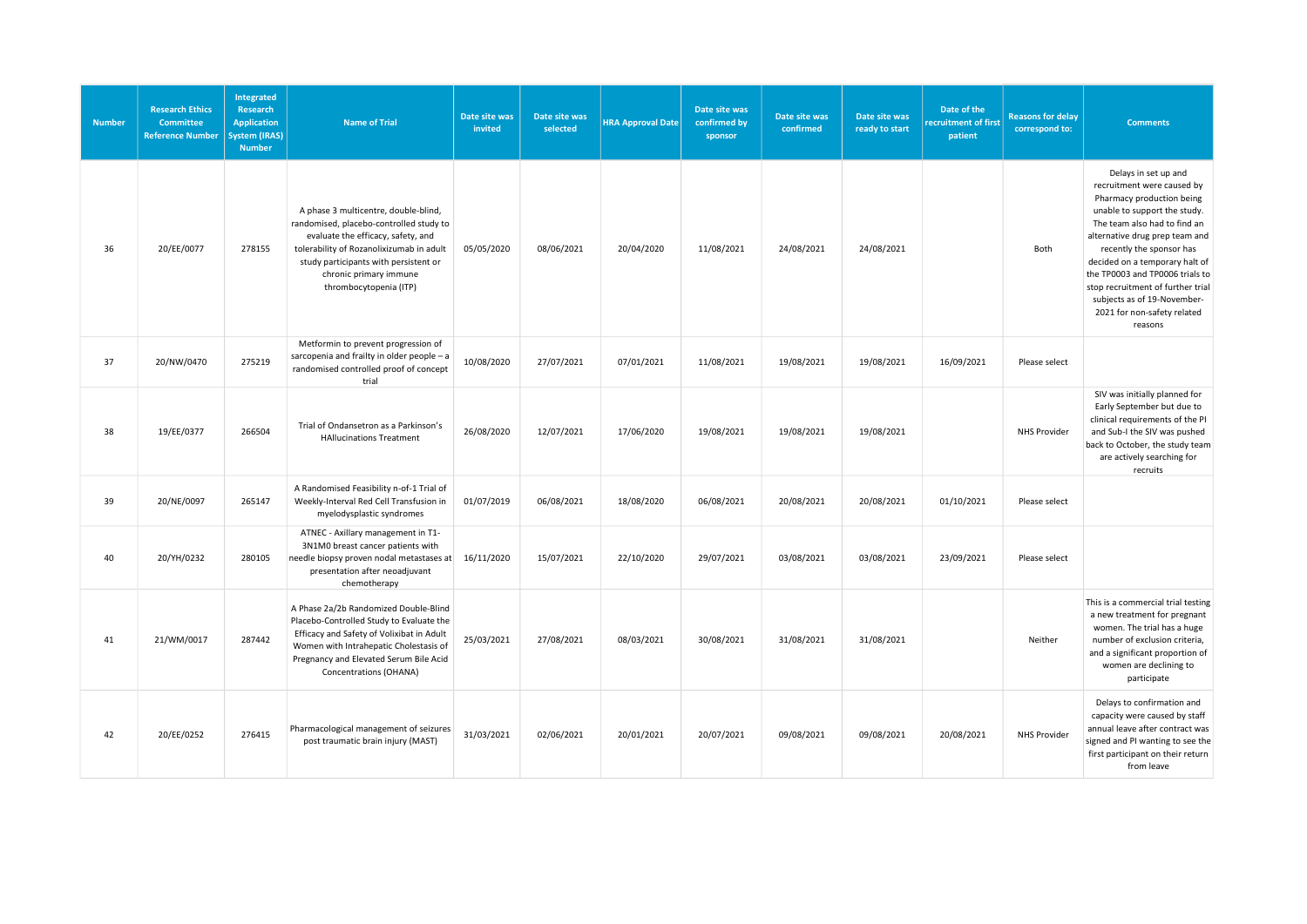| <b>Number</b> | <b>Research Ethics</b><br><b>Committee</b><br><b>Reference Number</b> | <b>Integrated</b><br>Research<br><b>Application</b><br><b>System (IRAS)</b><br><b>Number</b> | <b>Name of Trial</b>                                                                                                                                                                                                                                           | Date site was<br>invited | Date site was<br>selected | <b>HRA Approval Date</b> | Date site was<br>confirmed by<br>sponsor | Date site was<br>confirmed | Date site was<br>ready to start | Date of the<br>recruitment of first<br>patient | <b>Reasons for delay</b><br>correspond to: | <b>Comments</b>                                                                                                                                                                                                                                                                                                                                                                                  |
|---------------|-----------------------------------------------------------------------|----------------------------------------------------------------------------------------------|----------------------------------------------------------------------------------------------------------------------------------------------------------------------------------------------------------------------------------------------------------------|--------------------------|---------------------------|--------------------------|------------------------------------------|----------------------------|---------------------------------|------------------------------------------------|--------------------------------------------|--------------------------------------------------------------------------------------------------------------------------------------------------------------------------------------------------------------------------------------------------------------------------------------------------------------------------------------------------------------------------------------------------|
| 36            | 20/EE/0077                                                            | 278155                                                                                       | A phase 3 multicentre, double-blind,<br>randomised, placebo-controlled study to<br>evaluate the efficacy, safety, and<br>tolerability of Rozanolixizumab in adult<br>study participants with persistent or<br>chronic primary immune<br>thrombocytopenia (ITP) | 05/05/2020               | 08/06/2021                | 20/04/2020               | 11/08/2021                               | 24/08/2021                 | 24/08/2021                      |                                                | Both                                       | Delays in set up and<br>recruitment were caused by<br>Pharmacy production being<br>unable to support the study.<br>The team also had to find an<br>alternative drug prep team and<br>recently the sponsor has<br>decided on a temporary halt of<br>the TP0003 and TP0006 trials to<br>stop recruitment of further trial<br>subjects as of 19-November-<br>2021 for non-safety related<br>reasons |
| 37            | 20/NW/0470                                                            | 275219                                                                                       | Metformin to prevent progression of<br>sarcopenia and frailty in older people - a<br>randomised controlled proof of concept<br>trial                                                                                                                           | 10/08/2020               | 27/07/2021                | 07/01/2021               | 11/08/2021                               | 19/08/2021                 | 19/08/2021                      | 16/09/2021                                     | Please select                              |                                                                                                                                                                                                                                                                                                                                                                                                  |
| 38            | 19/EE/0377                                                            | 266504                                                                                       | Trial of Ondansetron as a Parkinson's<br><b>HAllucinations Treatment</b>                                                                                                                                                                                       | 26/08/2020               | 12/07/2021                | 17/06/2020               | 19/08/2021                               | 19/08/2021                 | 19/08/2021                      |                                                | <b>NHS Provider</b>                        | SIV was initially planned for<br>Early September but due to<br>clinical requirements of the PI<br>and Sub-I the SIV was pushed<br>back to October, the study team<br>are actively searching for<br>recruits                                                                                                                                                                                      |
| 39            | 20/NE/0097                                                            | 265147                                                                                       | A Randomised Feasibility n-of-1 Trial of<br>Weekly-Interval Red Cell Transfusion in<br>myelodysplastic syndromes                                                                                                                                               | 01/07/2019               | 06/08/2021                | 18/08/2020               | 06/08/2021                               | 20/08/2021                 | 20/08/2021                      | 01/10/2021                                     | Please select                              |                                                                                                                                                                                                                                                                                                                                                                                                  |
| 40            | 20/YH/0232                                                            | 280105                                                                                       | ATNEC - Axillary management in T1-<br>3N1M0 breast cancer patients with<br>needle biopsy proven nodal metastases at<br>presentation after neoadjuvant<br>chemotherapy                                                                                          | 16/11/2020               | 15/07/2021                | 22/10/2020               | 29/07/2021                               | 03/08/2021                 | 03/08/2021                      | 23/09/2021                                     | Please select                              |                                                                                                                                                                                                                                                                                                                                                                                                  |
| 41            | 21/WM/0017                                                            | 287442                                                                                       | A Phase 2a/2b Randomized Double-Blind<br>Placebo-Controlled Study to Evaluate the<br>Efficacy and Safety of Volixibat in Adult<br>Women with Intrahepatic Cholestasis of<br>Pregnancy and Elevated Serum Bile Acid<br>Concentrations (OHANA)                   | 25/03/2021               | 27/08/2021                | 08/03/2021               | 30/08/2021                               | 31/08/2021                 | 31/08/2021                      |                                                | Neither                                    | This is a commercial trial testing<br>a new treatment for pregnant<br>women. The trial has a huge<br>number of exclusion criteria,<br>and a significant proportion of<br>women are declining to<br>participate                                                                                                                                                                                   |
| 42            | 20/EE/0252                                                            | 276415                                                                                       | Pharmacological management of seizures<br>post traumatic brain injury (MAST)                                                                                                                                                                                   | 31/03/2021               | 02/06/2021                | 20/01/2021               | 20/07/2021                               | 09/08/2021                 | 09/08/2021                      | 20/08/2021                                     | <b>NHS Provider</b>                        | Delays to confirmation and<br>capacity were caused by staff<br>annual leave after contract was<br>signed and PI wanting to see the<br>first participant on their return<br>from leave                                                                                                                                                                                                            |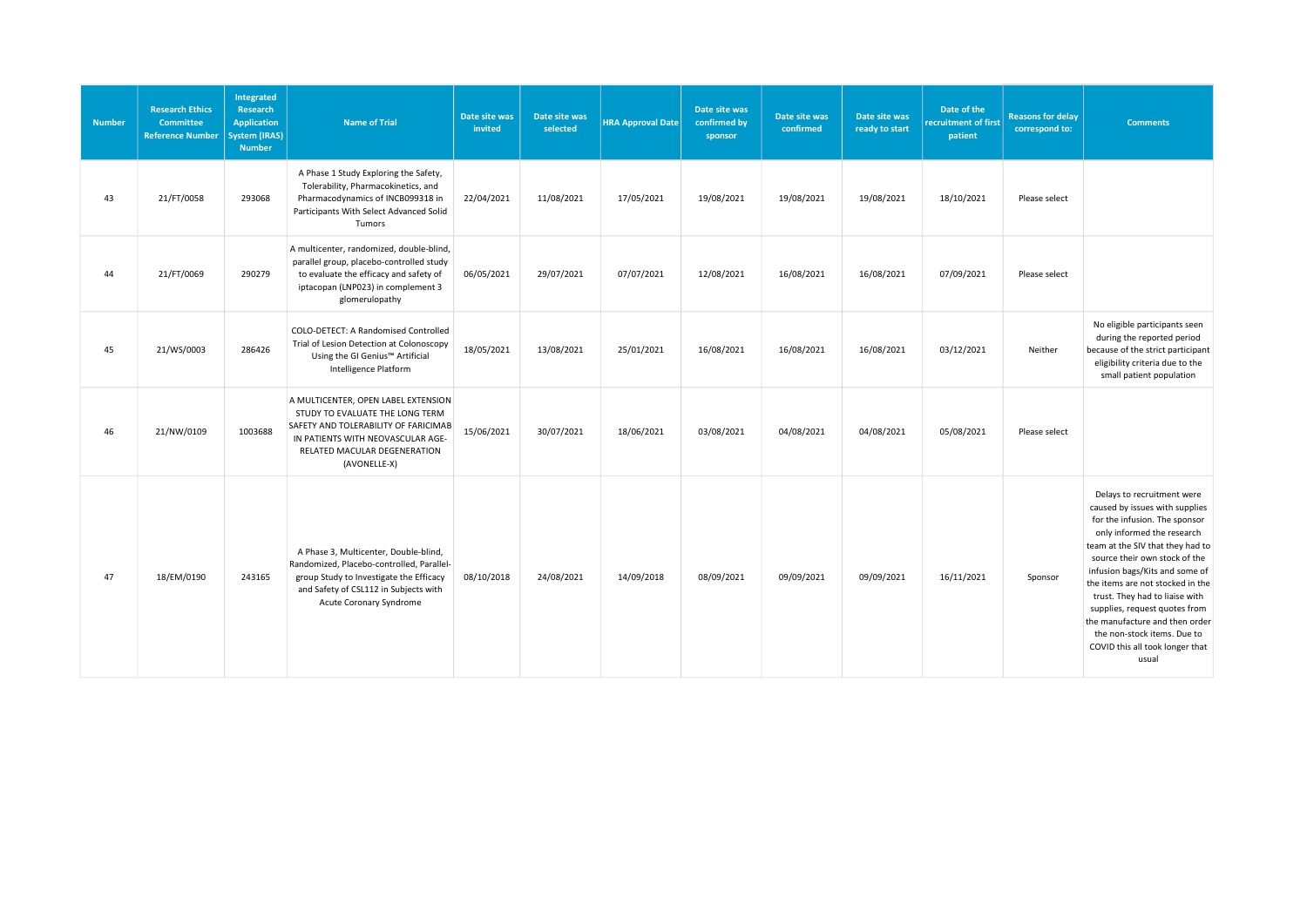| <b>Number</b> | <b>Research Ethics</b><br><b>Committee</b><br><b>Reference Number</b> | Integrated<br>Research<br><b>Application</b><br>System (IRAS)<br><b>Number</b> | <b>Name of Trial</b>                                                                                                                                                                                | Date site was<br>invited | Date site was<br>selected | <b>HRA Approval Date</b> | Date site was<br>confirmed by<br>sponsor | Date site was<br>confirmed | Date site was<br>ready to start | Date of the<br>recruitment of first<br>patient | <b>Reasons for delay</b><br>correspond to: | <b>Comments</b>                                                                                                                                                                                                                                                                                                                                                                                                                                        |
|---------------|-----------------------------------------------------------------------|--------------------------------------------------------------------------------|-----------------------------------------------------------------------------------------------------------------------------------------------------------------------------------------------------|--------------------------|---------------------------|--------------------------|------------------------------------------|----------------------------|---------------------------------|------------------------------------------------|--------------------------------------------|--------------------------------------------------------------------------------------------------------------------------------------------------------------------------------------------------------------------------------------------------------------------------------------------------------------------------------------------------------------------------------------------------------------------------------------------------------|
| 43            | 21/FT/0058                                                            | 293068                                                                         | A Phase 1 Study Exploring the Safety,<br>Tolerability, Pharmacokinetics, and<br>Pharmacodynamics of INCB099318 in<br>Participants With Select Advanced Solid<br>Tumors                              | 22/04/2021               | 11/08/2021                | 17/05/2021               | 19/08/2021                               | 19/08/2021                 | 19/08/2021                      | 18/10/2021                                     | Please select                              |                                                                                                                                                                                                                                                                                                                                                                                                                                                        |
| 44            | 21/FT/0069                                                            | 290279                                                                         | A multicenter, randomized, double-blind,<br>parallel group, placebo-controlled study<br>to evaluate the efficacy and safety of<br>iptacopan (LNP023) in complement 3<br>glomerulopathy              | 06/05/2021               | 29/07/2021                | 07/07/2021               | 12/08/2021                               | 16/08/2021                 | 16/08/2021                      | 07/09/2021                                     | Please select                              |                                                                                                                                                                                                                                                                                                                                                                                                                                                        |
| 45            | 21/WS/0003                                                            | 286426                                                                         | COLO-DETECT: A Randomised Controlled<br>Trial of Lesion Detection at Colonoscopy<br>Using the GI Genius™ Artificial<br><b>Intelligence Platform</b>                                                 | 18/05/2021               | 13/08/2021                | 25/01/2021               | 16/08/2021                               | 16/08/2021                 | 16/08/2021                      | 03/12/2021                                     | Neither                                    | No eligible participants seen<br>during the reported period<br>because of the strict participant<br>eligibility criteria due to the<br>small patient population                                                                                                                                                                                                                                                                                        |
| 46            | 21/NW/0109                                                            | 1003688                                                                        | A MULTICENTER, OPEN LABEL EXTENSION<br>STUDY TO EVALUATE THE LONG TERM<br>SAFETY AND TOLERABILITY OF FARICIMAB<br>IN PATIENTS WITH NEOVASCULAR AGE-<br>RELATED MACULAR DEGENERATION<br>(AVONELLE-X) | 15/06/2021               | 30/07/2021                | 18/06/2021               | 03/08/2021                               | 04/08/2021                 | 04/08/2021                      | 05/08/2021                                     | Please select                              |                                                                                                                                                                                                                                                                                                                                                                                                                                                        |
| 47            | 18/EM/0190                                                            | 243165                                                                         | A Phase 3, Multicenter, Double-blind,<br>Randomized, Placebo-controlled, Parallel-<br>group Study to Investigate the Efficacy<br>and Safety of CSL112 in Subjects with<br>Acute Coronary Syndrome   | 08/10/2018               | 24/08/2021                | 14/09/2018               | 08/09/2021                               | 09/09/2021                 | 09/09/2021                      | 16/11/2021                                     | Sponsor                                    | Delays to recruitment were<br>caused by issues with supplies<br>for the infusion. The sponsor<br>only informed the research<br>team at the SIV that they had to<br>source their own stock of the<br>infusion bags/Kits and some of<br>the items are not stocked in the<br>trust. They had to liaise with<br>supplies, request quotes from<br>the manufacture and then order<br>the non-stock items. Due to<br>COVID this all took longer that<br>usual |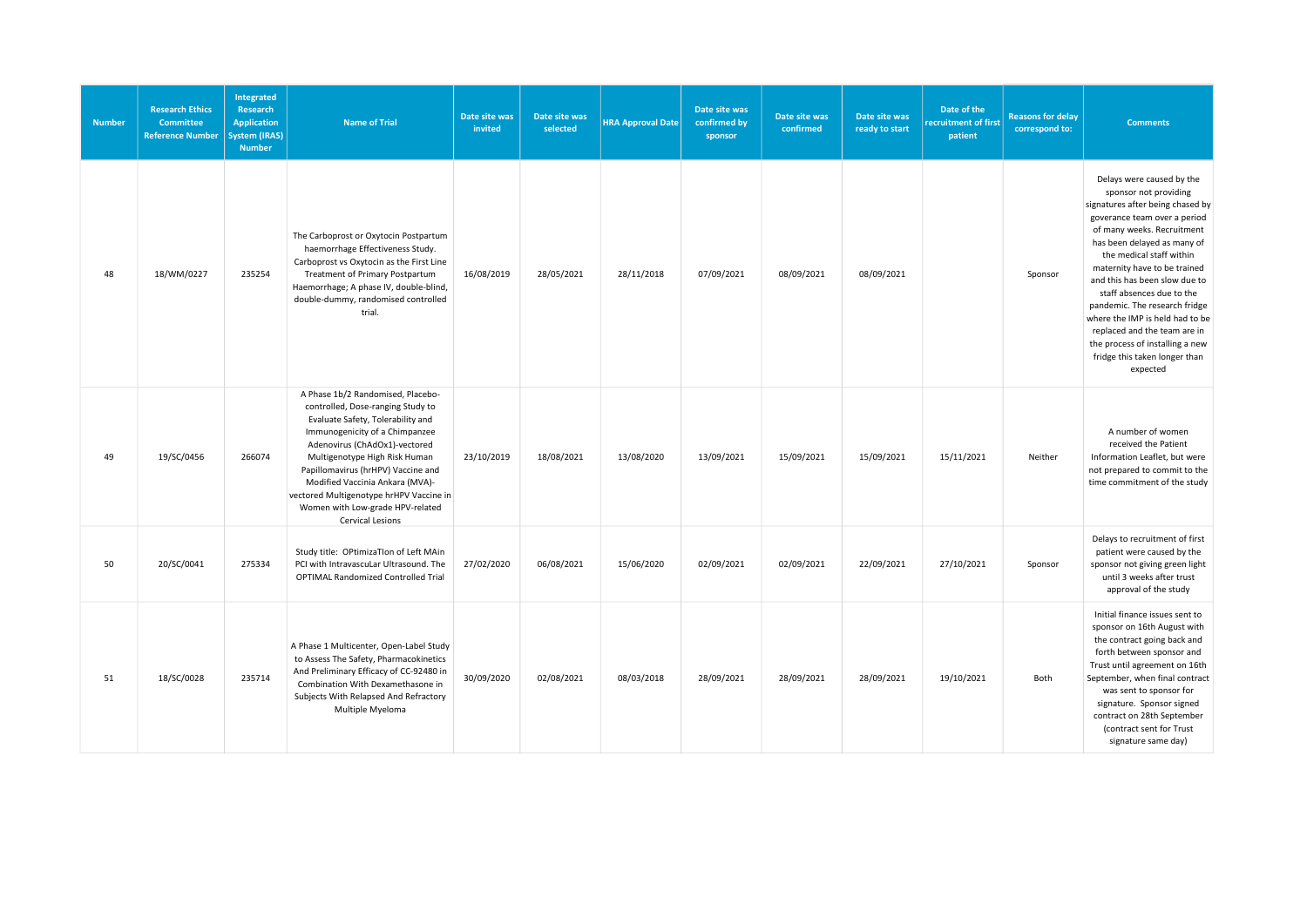| <b>Number</b> | <b>Research Ethics</b><br><b>Committee</b><br><b>Reference Number</b> | Integrated<br>Research<br><b>Application</b><br><b>System (IRAS)</b><br><b>Number</b> | <b>Name of Trial</b>                                                                                                                                                                                                                                                                                                                                                                        | Date site was<br>invited | Date site was<br>selected | <b>HRA Approval Date</b> | Date site was<br>confirmed by<br>sponsor | Date site was<br>confirmed | Date site was<br>ready to start | Date of the<br>recruitment of first<br>patient | <b>Reasons for delay</b><br>correspond to: | <b>Comments</b>                                                                                                                                                                                                                                                                                                                                                                                                                                                                                   |
|---------------|-----------------------------------------------------------------------|---------------------------------------------------------------------------------------|---------------------------------------------------------------------------------------------------------------------------------------------------------------------------------------------------------------------------------------------------------------------------------------------------------------------------------------------------------------------------------------------|--------------------------|---------------------------|--------------------------|------------------------------------------|----------------------------|---------------------------------|------------------------------------------------|--------------------------------------------|---------------------------------------------------------------------------------------------------------------------------------------------------------------------------------------------------------------------------------------------------------------------------------------------------------------------------------------------------------------------------------------------------------------------------------------------------------------------------------------------------|
| 48            | 18/WM/0227                                                            | 235254                                                                                | The Carboprost or Oxytocin Postpartum<br>haemorrhage Effectiveness Study.<br>Carboprost vs Oxytocin as the First Line<br>Treatment of Primary Postpartum<br>Haemorrhage; A phase IV, double-blind,<br>double-dummy, randomised controlled<br>trial.                                                                                                                                         | 16/08/2019               | 28/05/2021                | 28/11/2018               | 07/09/2021                               | 08/09/2021                 | 08/09/2021                      |                                                | Sponsor                                    | Delays were caused by the<br>sponsor not providing<br>signatures after being chased by<br>goverance team over a period<br>of many weeks. Recruitment<br>has been delayed as many of<br>the medical staff within<br>maternity have to be trained<br>and this has been slow due to<br>staff absences due to the<br>pandemic. The research fridge<br>where the IMP is held had to be<br>replaced and the team are in<br>the process of installing a new<br>fridge this taken longer than<br>expected |
| 49            | 19/SC/0456                                                            | 266074                                                                                | A Phase 1b/2 Randomised, Placebo-<br>controlled, Dose-ranging Study to<br>Evaluate Safety, Tolerability and<br>Immunogenicity of a Chimpanzee<br>Adenovirus (ChAdOx1)-vectored<br>Multigenotype High Risk Human<br>Papillomavirus (hrHPV) Vaccine and<br>Modified Vaccinia Ankara (MVA)-<br>vectored Multigenotype hrHPV Vaccine in<br>Women with Low-grade HPV-related<br>Cervical Lesions | 23/10/2019               | 18/08/2021                | 13/08/2020               | 13/09/2021                               | 15/09/2021                 | 15/09/2021                      | 15/11/2021                                     | Neither                                    | A number of women<br>received the Patient<br>Information Leaflet, but were<br>not prepared to commit to the<br>time commitment of the study                                                                                                                                                                                                                                                                                                                                                       |
| 50            | 20/SC/0041                                                            | 275334                                                                                | Study title: OPtimizaTIon of Left MAin<br>PCI with IntravascuLar Ultrasound. The<br>OPTIMAL Randomized Controlled Trial                                                                                                                                                                                                                                                                     | 27/02/2020               | 06/08/2021                | 15/06/2020               | 02/09/2021                               | 02/09/2021                 | 22/09/2021                      | 27/10/2021                                     | Sponsor                                    | Delays to recruitment of first<br>patient were caused by the<br>sponsor not giving green light<br>until 3 weeks after trust<br>approval of the study                                                                                                                                                                                                                                                                                                                                              |
| 51            | 18/SC/0028                                                            | 235714                                                                                | A Phase 1 Multicenter, Open-Label Study<br>to Assess The Safety, Pharmacokinetics<br>And Preliminary Efficacy of CC-92480 in<br>Combination With Dexamethasone in<br>Subjects With Relapsed And Refractory<br>Multiple Myeloma                                                                                                                                                              | 30/09/2020               | 02/08/2021                | 08/03/2018               | 28/09/2021                               | 28/09/2021                 | 28/09/2021                      | 19/10/2021                                     | Both                                       | Initial finance issues sent to<br>sponsor on 16th August with<br>the contract going back and<br>forth between sponsor and<br>Trust until agreement on 16th<br>September, when final contract<br>was sent to sponsor for<br>signature. Sponsor signed<br>contract on 28th September<br>(contract sent for Trust<br>signature same day)                                                                                                                                                             |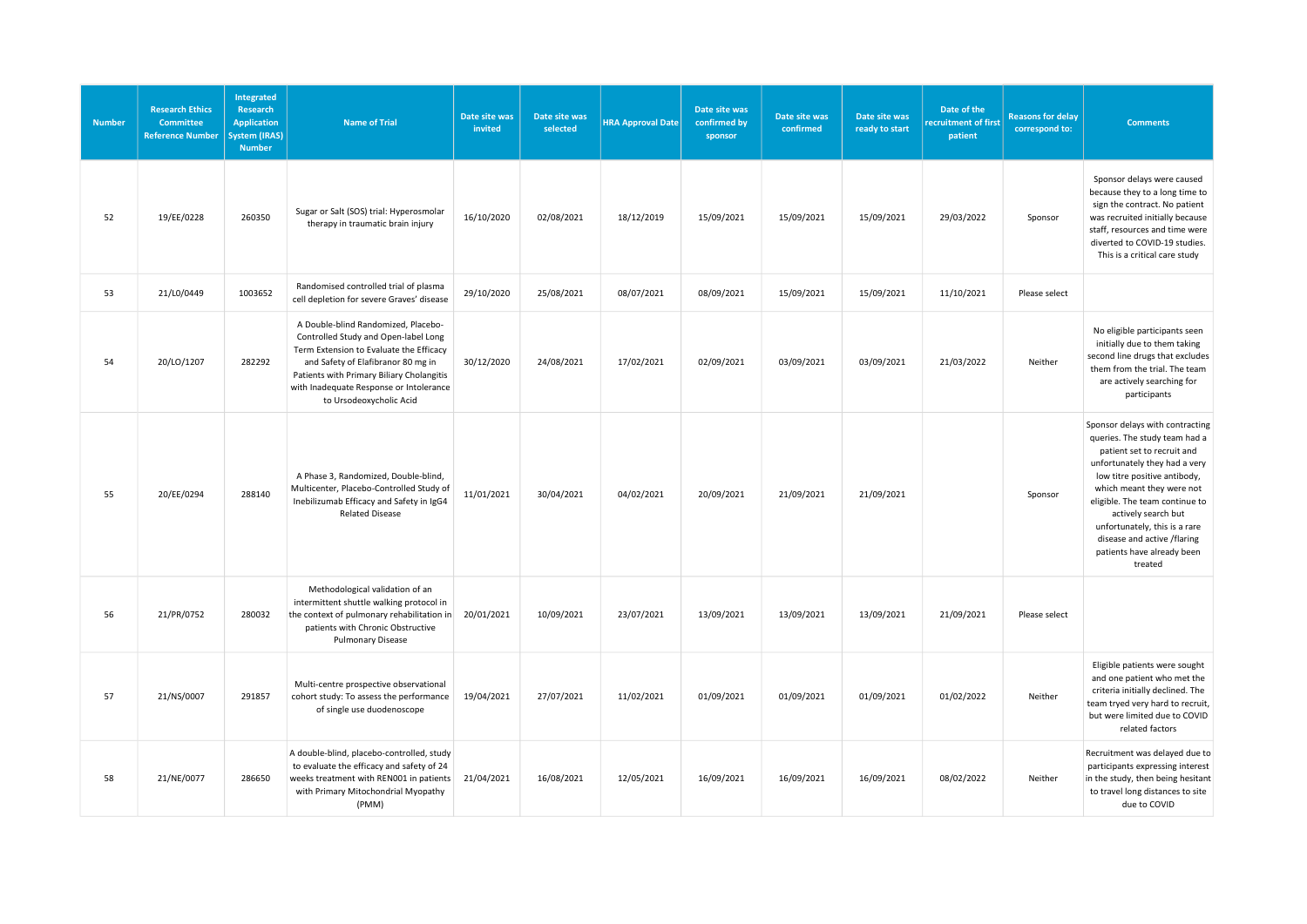| <b>Number</b> | <b>Research Ethics</b><br><b>Committee</b><br><b>Reference Number</b> | Integrated<br>Research<br><b>Application</b><br><b>System (IRAS)</b><br><b>Number</b> | <b>Name of Trial</b>                                                                                                                                                                                                                                                            | Date site was<br>invited | Date site was<br>selected | <b>HRA Approval Date</b> | Date site was<br>confirmed by<br>sponsor | Date site was<br>confirmed | Date site was<br>ready to start | Date of the<br>recruitment of first<br>patient | <b>Reasons for delay</b><br>correspond to: | <b>Comments</b>                                                                                                                                                                                                                                                                                                                                                |
|---------------|-----------------------------------------------------------------------|---------------------------------------------------------------------------------------|---------------------------------------------------------------------------------------------------------------------------------------------------------------------------------------------------------------------------------------------------------------------------------|--------------------------|---------------------------|--------------------------|------------------------------------------|----------------------------|---------------------------------|------------------------------------------------|--------------------------------------------|----------------------------------------------------------------------------------------------------------------------------------------------------------------------------------------------------------------------------------------------------------------------------------------------------------------------------------------------------------------|
| 52            | 19/EE/0228                                                            | 260350                                                                                | Sugar or Salt (SOS) trial: Hyperosmolar<br>therapy in traumatic brain injury                                                                                                                                                                                                    | 16/10/2020               | 02/08/2021                | 18/12/2019               | 15/09/2021                               | 15/09/2021                 | 15/09/2021                      | 29/03/2022                                     | Sponsor                                    | Sponsor delays were caused<br>because they to a long time to<br>sign the contract. No patient<br>was recruited initially because<br>staff, resources and time were<br>diverted to COVID-19 studies.<br>This is a critical care study                                                                                                                           |
| 53            | 21/L0/0449                                                            | 1003652                                                                               | Randomised controlled trial of plasma<br>cell depletion for severe Graves' disease                                                                                                                                                                                              | 29/10/2020               | 25/08/2021                | 08/07/2021               | 08/09/2021                               | 15/09/2021                 | 15/09/2021                      | 11/10/2021                                     | Please select                              |                                                                                                                                                                                                                                                                                                                                                                |
| 54            | 20/LO/1207                                                            | 282292                                                                                | A Double-blind Randomized, Placebo-<br>Controlled Study and Open-label Long<br>Term Extension to Evaluate the Efficacy<br>and Safety of Elafibranor 80 mg in<br>Patients with Primary Biliary Cholangitis<br>with Inadequate Response or Intolerance<br>to Ursodeoxycholic Acid | 30/12/2020               | 24/08/2021                | 17/02/2021               | 02/09/2021                               | 03/09/2021                 | 03/09/2021                      | 21/03/2022                                     | Neither                                    | No eligible participants seen<br>initially due to them taking<br>second line drugs that excludes<br>them from the trial. The team<br>are actively searching for<br>participants                                                                                                                                                                                |
| 55            | 20/EE/0294                                                            | 288140                                                                                | A Phase 3, Randomized, Double-blind,<br>Multicenter, Placebo-Controlled Study of<br>Inebilizumab Efficacy and Safety in IgG4<br><b>Related Disease</b>                                                                                                                          | 11/01/2021               | 30/04/2021                | 04/02/2021               | 20/09/2021                               | 21/09/2021                 | 21/09/2021                      |                                                | Sponsor                                    | Sponsor delays with contracting<br>queries. The study team had a<br>patient set to recruit and<br>unfortunately they had a very<br>low titre positive antibody,<br>which meant they were not<br>eligible. The team continue to<br>actively search but<br>unfortunately, this is a rare<br>disease and active /flaring<br>patients have already been<br>treated |
| 56            | 21/PR/0752                                                            | 280032                                                                                | Methodological validation of an<br>intermittent shuttle walking protocol in<br>the context of pulmonary rehabilitation in<br>patients with Chronic Obstructive<br><b>Pulmonary Disease</b>                                                                                      | 20/01/2021               | 10/09/2021                | 23/07/2021               | 13/09/2021                               | 13/09/2021                 | 13/09/2021                      | 21/09/2021                                     | Please select                              |                                                                                                                                                                                                                                                                                                                                                                |
| 57            | 21/NS/0007                                                            | 291857                                                                                | Multi-centre prospective observational<br>cohort study: To assess the performance<br>of single use duodenoscope                                                                                                                                                                 | 19/04/2021               | 27/07/2021                | 11/02/2021               | 01/09/2021                               | 01/09/2021                 | 01/09/2021                      | 01/02/2022                                     | Neither                                    | Eligible patients were sought<br>and one patient who met the<br>criteria initially declined. The<br>team tryed very hard to recruit,<br>but were limited due to COVID<br>related factors                                                                                                                                                                       |
| 58            | 21/NE/0077                                                            | 286650                                                                                | A double-blind, placebo-controlled, study<br>to evaluate the efficacy and safety of 24<br>weeks treatment with REN001 in patients<br>with Primary Mitochondrial Myopathy<br>(PMM)                                                                                               | 21/04/2021               | 16/08/2021                | 12/05/2021               | 16/09/2021                               | 16/09/2021                 | 16/09/2021                      | 08/02/2022                                     | Neither                                    | Recruitment was delayed due to<br>participants expressing interest<br>in the study, then being hesitant<br>to travel long distances to site<br>due to COVID                                                                                                                                                                                                    |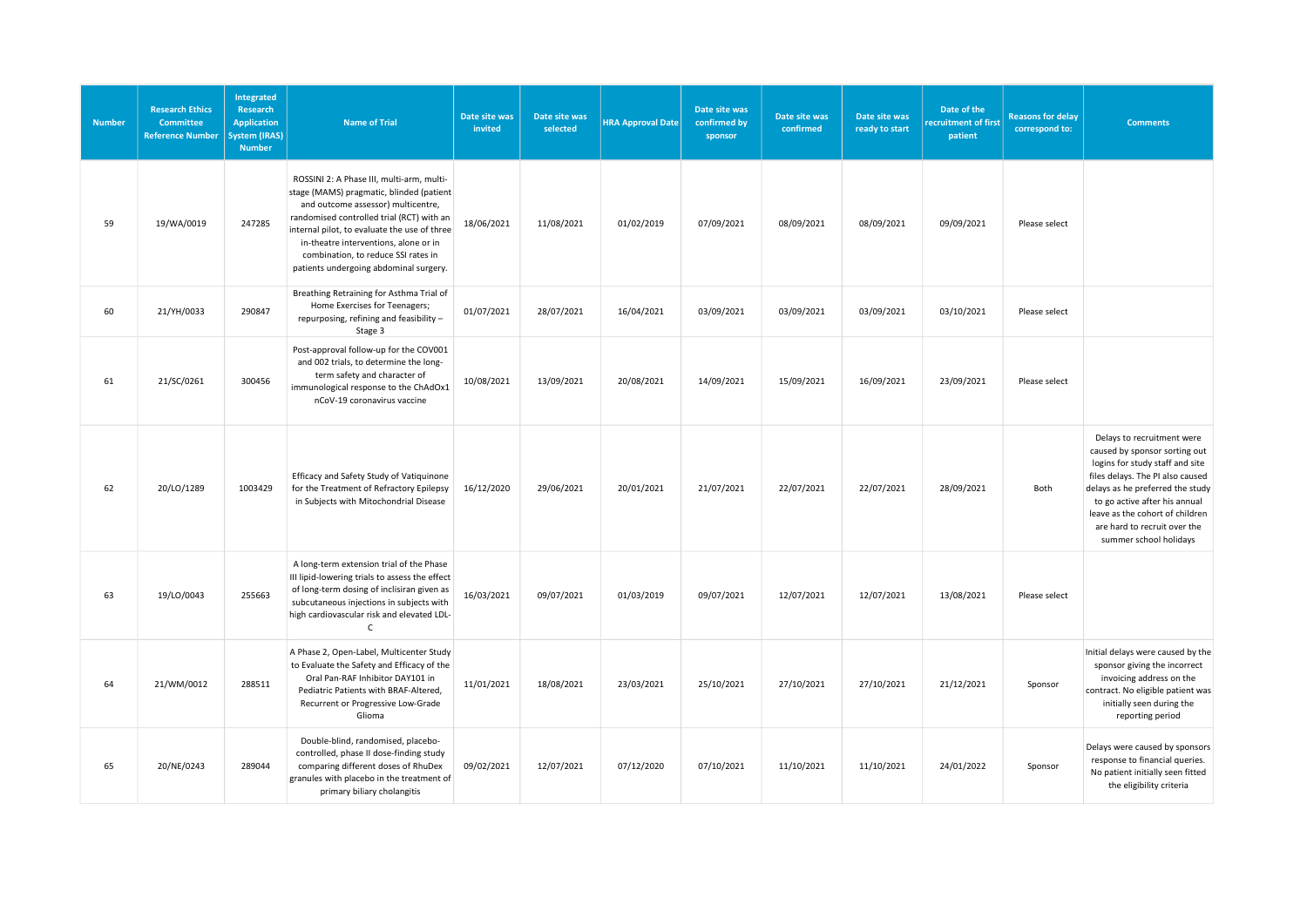| <b>Number</b> | <b>Research Ethics</b><br><b>Committee</b><br><b>Reference Number</b> | Integrated<br>Research<br><b>Application</b><br><b>System (IRAS)</b><br><b>Number</b> | <b>Name of Trial</b>                                                                                                                                                                                                                                                                                                                               | Date site was<br>invited | Date site was<br>selected | <b>HRA Approval Date</b> | Date site was<br>confirmed by<br>sponsor | Date site was<br>confirmed | Date site was<br>ready to start | Date of the<br>recruitment of first<br>patient | <b>Reasons for delay</b><br>correspond to: | <b>Comments</b>                                                                                                                                                                                                                                                                                      |
|---------------|-----------------------------------------------------------------------|---------------------------------------------------------------------------------------|----------------------------------------------------------------------------------------------------------------------------------------------------------------------------------------------------------------------------------------------------------------------------------------------------------------------------------------------------|--------------------------|---------------------------|--------------------------|------------------------------------------|----------------------------|---------------------------------|------------------------------------------------|--------------------------------------------|------------------------------------------------------------------------------------------------------------------------------------------------------------------------------------------------------------------------------------------------------------------------------------------------------|
| 59            | 19/WA/0019                                                            | 247285                                                                                | ROSSINI 2: A Phase III, multi-arm, multi-<br>stage (MAMS) pragmatic, blinded (patient<br>and outcome assessor) multicentre,<br>randomised controlled trial (RCT) with an<br>internal pilot, to evaluate the use of three<br>in-theatre interventions, alone or in<br>combination, to reduce SSI rates in<br>patients undergoing abdominal surgery. | 18/06/2021               | 11/08/2021                | 01/02/2019               | 07/09/2021                               | 08/09/2021                 | 08/09/2021                      | 09/09/2021                                     | Please select                              |                                                                                                                                                                                                                                                                                                      |
| 60            | 21/YH/0033                                                            | 290847                                                                                | Breathing Retraining for Asthma Trial of<br>Home Exercises for Teenagers;<br>repurposing, refining and feasibility -<br>Stage 3                                                                                                                                                                                                                    | 01/07/2021               | 28/07/2021                | 16/04/2021               | 03/09/2021                               | 03/09/2021                 | 03/09/2021                      | 03/10/2021                                     | Please select                              |                                                                                                                                                                                                                                                                                                      |
| 61            | 21/SC/0261                                                            | 300456                                                                                | Post-approval follow-up for the COV001<br>and 002 trials, to determine the long-<br>term safety and character of<br>immunological response to the ChAdOx1<br>nCoV-19 coronavirus vaccine                                                                                                                                                           | 10/08/2021               | 13/09/2021                | 20/08/2021               | 14/09/2021                               | 15/09/2021                 | 16/09/2021                      | 23/09/2021                                     | Please select                              |                                                                                                                                                                                                                                                                                                      |
| 62            | 20/LO/1289                                                            | 1003429                                                                               | Efficacy and Safety Study of Vatiquinone<br>for the Treatment of Refractory Epilepsy<br>in Subjects with Mitochondrial Disease                                                                                                                                                                                                                     | 16/12/2020               | 29/06/2021                | 20/01/2021               | 21/07/2021                               | 22/07/2021                 | 22/07/2021                      | 28/09/2021                                     | Both                                       | Delays to recruitment were<br>caused by sponsor sorting out<br>logins for study staff and site<br>files delays. The PI also caused<br>delays as he preferred the study<br>to go active after his annual<br>leave as the cohort of children<br>are hard to recruit over the<br>summer school holidays |
| 63            | 19/LO/0043                                                            | 255663                                                                                | A long-term extension trial of the Phase<br>III lipid-lowering trials to assess the effect<br>of long-term dosing of inclisiran given as<br>subcutaneous injections in subjects with<br>high cardiovascular risk and elevated LDL-<br>$\mathsf{C}$                                                                                                 | 16/03/2021               | 09/07/2021                | 01/03/2019               | 09/07/2021                               | 12/07/2021                 | 12/07/2021                      | 13/08/2021                                     | Please select                              |                                                                                                                                                                                                                                                                                                      |
| 64            | 21/WM/0012                                                            | 288511                                                                                | A Phase 2, Open-Label, Multicenter Study<br>to Evaluate the Safety and Efficacy of the<br>Oral Pan-RAF Inhibitor DAY101 in<br>Pediatric Patients with BRAF-Altered,<br>Recurrent or Progressive Low-Grade<br>Glioma                                                                                                                                | 11/01/2021               | 18/08/2021                | 23/03/2021               | 25/10/2021                               | 27/10/2021                 | 27/10/2021                      | 21/12/2021                                     | Sponsor                                    | Initial delays were caused by the<br>sponsor giving the incorrect<br>invoicing address on the<br>contract. No eligible patient was<br>initially seen during the<br>reporting period                                                                                                                  |
| 65            | 20/NE/0243                                                            | 289044                                                                                | Double-blind, randomised, placebo-<br>controlled, phase II dose-finding study<br>comparing different doses of RhuDex<br>granules with placebo in the treatment of<br>primary biliary cholangitis                                                                                                                                                   | 09/02/2021               | 12/07/2021                | 07/12/2020               | 07/10/2021                               | 11/10/2021                 | 11/10/2021                      | 24/01/2022                                     | Sponsor                                    | Delays were caused by sponsors<br>response to financial queries.<br>No patient initially seen fitted<br>the eligibility criteria                                                                                                                                                                     |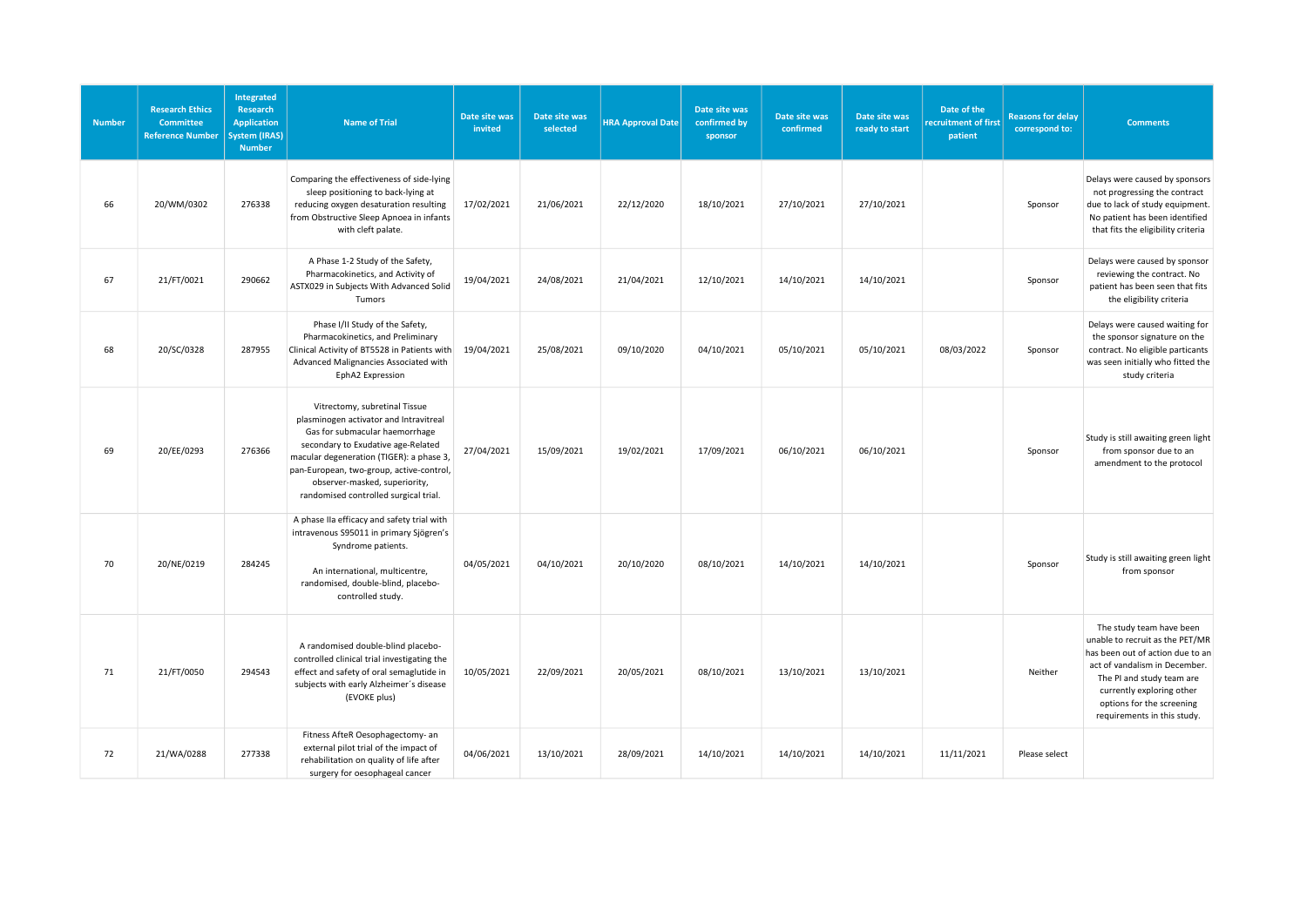| <b>Number</b> | <b>Research Ethics</b><br><b>Committee</b><br><b>Reference Number</b> | Integrated<br>Research<br><b>Application</b><br><b>System (IRAS)</b><br><b>Number</b> | <b>Name of Trial</b>                                                                                                                                                                                                                                                                                              | Date site was<br>invited | Date site was<br>selected | <b>HRA Approval Date</b> | Date site was<br>confirmed by<br>sponsor | Date site was<br>confirmed | Date site was<br>ready to start | Date of the<br>recruitment of first<br>patient | <b>Reasons for delay</b><br>correspond to: | <b>Comments</b>                                                                                                                                                                                                                                        |
|---------------|-----------------------------------------------------------------------|---------------------------------------------------------------------------------------|-------------------------------------------------------------------------------------------------------------------------------------------------------------------------------------------------------------------------------------------------------------------------------------------------------------------|--------------------------|---------------------------|--------------------------|------------------------------------------|----------------------------|---------------------------------|------------------------------------------------|--------------------------------------------|--------------------------------------------------------------------------------------------------------------------------------------------------------------------------------------------------------------------------------------------------------|
| 66            | 20/WM/0302                                                            | 276338                                                                                | Comparing the effectiveness of side-lying<br>sleep positioning to back-lying at<br>reducing oxygen desaturation resulting<br>from Obstructive Sleep Apnoea in infants<br>with cleft palate.                                                                                                                       | 17/02/2021               | 21/06/2021                | 22/12/2020               | 18/10/2021                               | 27/10/2021                 | 27/10/2021                      |                                                | Sponsor                                    | Delays were caused by sponsors<br>not progressing the contract<br>due to lack of study equipment.<br>No patient has been identified<br>that fits the eligibility criteria                                                                              |
| 67            | 21/FT/0021                                                            | 290662                                                                                | A Phase 1-2 Study of the Safety,<br>Pharmacokinetics, and Activity of<br>ASTX029 in Subjects With Advanced Solid<br>Tumors                                                                                                                                                                                        | 19/04/2021               | 24/08/2021                | 21/04/2021               | 12/10/2021                               | 14/10/2021                 | 14/10/2021                      |                                                | Sponsor                                    | Delays were caused by sponsor<br>reviewing the contract. No<br>patient has been seen that fits<br>the eligibility criteria                                                                                                                             |
| 68            | 20/SC/0328                                                            | 287955                                                                                | Phase I/II Study of the Safety,<br>Pharmacokinetics, and Preliminary<br>Clinical Activity of BT5528 in Patients with<br>Advanced Malignancies Associated with<br>EphA2 Expression                                                                                                                                 | 19/04/2021               | 25/08/2021                | 09/10/2020               | 04/10/2021                               | 05/10/2021                 | 05/10/2021                      | 08/03/2022                                     | Sponsor                                    | Delays were caused waiting for<br>the sponsor signature on the<br>contract. No eligible particants<br>was seen initially who fitted the<br>study criteria                                                                                              |
| 69            | 20/EE/0293                                                            | 276366                                                                                | Vitrectomy, subretinal Tissue<br>plasminogen activator and Intravitreal<br>Gas for submacular haemorrhage<br>secondary to Exudative age-Related<br>macular degeneration (TIGER): a phase 3,<br>pan-European, two-group, active-control,<br>observer-masked, superiority,<br>randomised controlled surgical trial. | 27/04/2021               | 15/09/2021                | 19/02/2021               | 17/09/2021                               | 06/10/2021                 | 06/10/2021                      |                                                | Sponsor                                    | Study is still awaiting green light<br>from sponsor due to an<br>amendment to the protocol                                                                                                                                                             |
| 70            | 20/NE/0219                                                            | 284245                                                                                | A phase IIa efficacy and safety trial with<br>intravenous S95011 in primary Sjögren's<br>Syndrome patients.<br>An international, multicentre,<br>randomised, double-blind, placebo-<br>controlled study.                                                                                                          | 04/05/2021               | 04/10/2021                | 20/10/2020               | 08/10/2021                               | 14/10/2021                 | 14/10/2021                      |                                                | Sponsor                                    | Study is still awaiting green light<br>from sponsor                                                                                                                                                                                                    |
| 71            | 21/FT/0050                                                            | 294543                                                                                | A randomised double-blind placebo-<br>controlled clinical trial investigating the<br>effect and safety of oral semaglutide in<br>subjects with early Alzheimer's disease<br>(EVOKE plus)                                                                                                                          | 10/05/2021               | 22/09/2021                | 20/05/2021               | 08/10/2021                               | 13/10/2021                 | 13/10/2021                      |                                                | Neither                                    | The study team have been<br>unable to recruit as the PET/MR<br>has been out of action due to an<br>act of vandalism in December.<br>The PI and study team are<br>currently exploring other<br>options for the screening<br>requirements in this study. |
| 72            | 21/WA/0288                                                            | 277338                                                                                | Fitness AfteR Oesophagectomy- an<br>external pilot trial of the impact of<br>rehabilitation on quality of life after<br>surgery for oesophageal cancer                                                                                                                                                            | 04/06/2021               | 13/10/2021                | 28/09/2021               | 14/10/2021                               | 14/10/2021                 | 14/10/2021                      | 11/11/2021                                     | Please select                              |                                                                                                                                                                                                                                                        |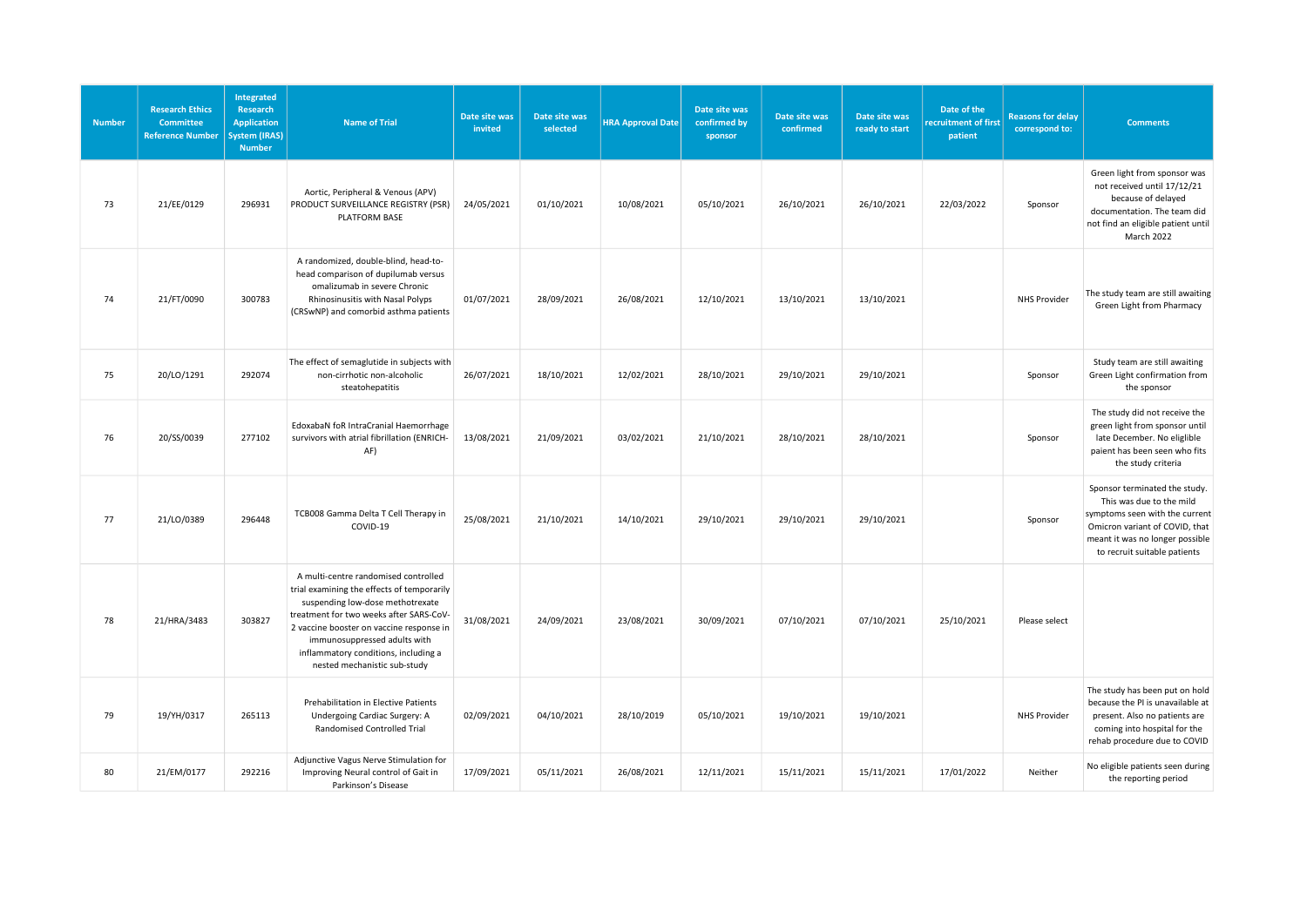| <b>Number</b> | <b>Research Ethics</b><br><b>Committee</b><br><b>Reference Number</b> | Integrated<br>Research<br><b>Application</b><br><b>System (IRAS)</b><br><b>Number</b> | <b>Name of Trial</b>                                                                                                                                                                                                                                                                                                  | Date site was<br>invited | Date site was<br>selected | <b>HRA Approval Date</b> | Date site was<br>confirmed by<br>sponsor | Date site was<br>confirmed | Date site was<br>ready to start | Date of the<br>recruitment of first<br>patient | <b>Reasons for delay</b><br>correspond to: | <b>Comments</b>                                                                                                                                                                                  |
|---------------|-----------------------------------------------------------------------|---------------------------------------------------------------------------------------|-----------------------------------------------------------------------------------------------------------------------------------------------------------------------------------------------------------------------------------------------------------------------------------------------------------------------|--------------------------|---------------------------|--------------------------|------------------------------------------|----------------------------|---------------------------------|------------------------------------------------|--------------------------------------------|--------------------------------------------------------------------------------------------------------------------------------------------------------------------------------------------------|
| 73            | 21/EE/0129                                                            | 296931                                                                                | Aortic, Peripheral & Venous (APV)<br>PRODUCT SURVEILLANCE REGISTRY (PSR)<br>PLATFORM BASE                                                                                                                                                                                                                             | 24/05/2021               | 01/10/2021                | 10/08/2021               | 05/10/2021                               | 26/10/2021                 | 26/10/2021                      | 22/03/2022                                     | Sponsor                                    | Green light from sponsor was<br>not received until 17/12/21<br>because of delayed<br>documentation. The team did<br>not find an eligible patient until<br>March 2022                             |
| 74            | 21/FT/0090                                                            | 300783                                                                                | A randomized, double-blind, head-to-<br>head comparison of dupilumab versus<br>omalizumab in severe Chronic<br>Rhinosinusitis with Nasal Polyps<br>(CRSwNP) and comorbid asthma patients                                                                                                                              | 01/07/2021               | 28/09/2021                | 26/08/2021               | 12/10/2021                               | 13/10/2021                 | 13/10/2021                      |                                                | <b>NHS Provider</b>                        | The study team are still awaiting<br>Green Light from Pharmacy                                                                                                                                   |
| 75            | 20/LO/1291                                                            | 292074                                                                                | The effect of semaglutide in subjects with<br>non-cirrhotic non-alcoholic<br>steatohepatitis                                                                                                                                                                                                                          | 26/07/2021               | 18/10/2021                | 12/02/2021               | 28/10/2021                               | 29/10/2021                 | 29/10/2021                      |                                                | Sponsor                                    | Study team are still awaiting<br>Green Light confirmation from<br>the sponsor                                                                                                                    |
| 76            | 20/SS/0039                                                            | 277102                                                                                | EdoxabaN foR IntraCranial Haemorrhage<br>survivors with atrial fibrillation (ENRICH-<br>AF)                                                                                                                                                                                                                           | 13/08/2021               | 21/09/2021                | 03/02/2021               | 21/10/2021                               | 28/10/2021                 | 28/10/2021                      |                                                | Sponsor                                    | The study did not receive the<br>green light from sponsor until<br>late December. No eliglible<br>paient has been seen who fits<br>the study criteria                                            |
| 77            | 21/LO/0389                                                            | 296448                                                                                | TCB008 Gamma Delta T Cell Therapy in<br>COVID-19                                                                                                                                                                                                                                                                      | 25/08/2021               | 21/10/2021                | 14/10/2021               | 29/10/2021                               | 29/10/2021                 | 29/10/2021                      |                                                | Sponsor                                    | Sponsor terminated the study.<br>This was due to the mild<br>symptoms seen with the current<br>Omicron variant of COVID, that<br>meant it was no longer possible<br>to recruit suitable patients |
| 78            | 21/HRA/3483                                                           | 303827                                                                                | A multi-centre randomised controlled<br>trial examining the effects of temporarily<br>suspending low-dose methotrexate<br>treatment for two weeks after SARS-CoV-<br>2 vaccine booster on vaccine response in<br>immunosuppressed adults with<br>inflammatory conditions, including a<br>nested mechanistic sub-study | 31/08/2021               | 24/09/2021                | 23/08/2021               | 30/09/2021                               | 07/10/2021                 | 07/10/2021                      | 25/10/2021                                     | Please select                              |                                                                                                                                                                                                  |
| 79            | 19/YH/0317                                                            | 265113                                                                                | Prehabilitation in Elective Patients<br>Undergoing Cardiac Surgery: A<br>Randomised Controlled Trial                                                                                                                                                                                                                  | 02/09/2021               | 04/10/2021                | 28/10/2019               | 05/10/2021                               | 19/10/2021                 | 19/10/2021                      |                                                | NHS Provider                               | The study has been put on hold<br>because the PI is unavailable at<br>present. Also no patients are<br>coming into hospital for the<br>rehab procedure due to COVID                              |
| 80            | 21/EM/0177                                                            | 292216                                                                                | Adjunctive Vagus Nerve Stimulation for<br>Improving Neural control of Gait in<br>Parkinson's Disease                                                                                                                                                                                                                  | 17/09/2021               | 05/11/2021                | 26/08/2021               | 12/11/2021                               | 15/11/2021                 | 15/11/2021                      | 17/01/2022                                     | Neither                                    | No eligible patients seen during<br>the reporting period                                                                                                                                         |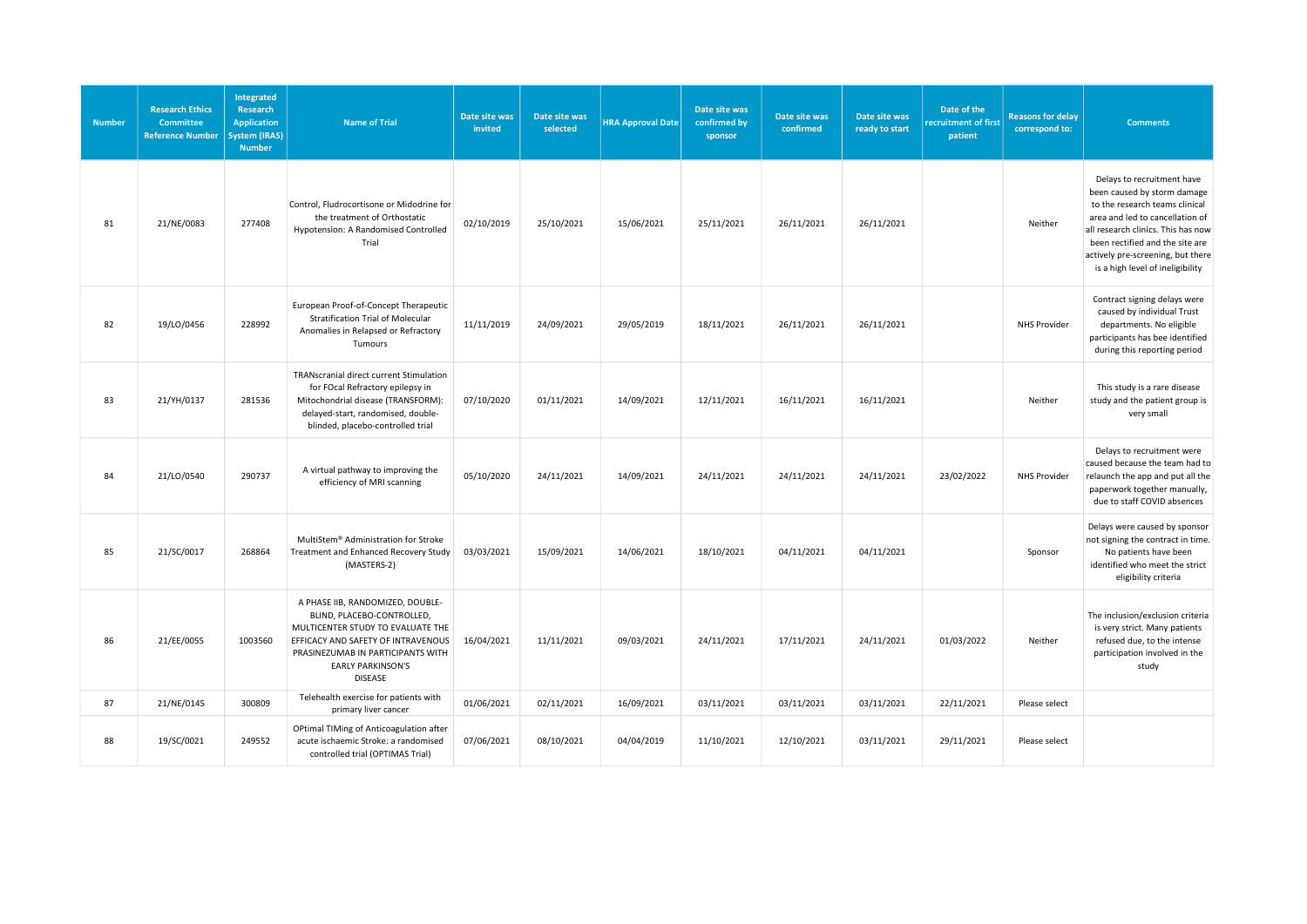| <b>Number</b> | <b>Research Ethics</b><br><b>Committee</b><br><b>Reference Number</b> | Integrated<br>Research<br><b>Application</b><br><b>System (IRAS)</b><br><b>Number</b> | <b>Name of Trial</b>                                                                                                                                                                                                         | Date site was<br>invited | Date site was<br>selected | <b>HRA Approval Date</b> | Date site was<br>confirmed by<br>sponsor | Date site was<br>confirmed | Date site was<br>ready to start | Date of the<br>recruitment of first<br>patient | <b>Reasons for delay</b><br>correspond to: | <b>Comments</b>                                                                                                                                                                                                                                                                  |
|---------------|-----------------------------------------------------------------------|---------------------------------------------------------------------------------------|------------------------------------------------------------------------------------------------------------------------------------------------------------------------------------------------------------------------------|--------------------------|---------------------------|--------------------------|------------------------------------------|----------------------------|---------------------------------|------------------------------------------------|--------------------------------------------|----------------------------------------------------------------------------------------------------------------------------------------------------------------------------------------------------------------------------------------------------------------------------------|
| 81            | 21/NE/0083                                                            | 277408                                                                                | Control, Fludrocortisone or Midodrine for<br>the treatment of Orthostatic<br>Hypotension: A Randomised Controlled<br>Trial                                                                                                   | 02/10/2019               | 25/10/2021                | 15/06/2021               | 25/11/2021                               | 26/11/2021                 | 26/11/2021                      |                                                | Neither                                    | Delays to recruitment have<br>been caused by storm damage<br>to the research teams clinical<br>area and led to cancellation of<br>all research clinics. This has now<br>been rectified and the site are<br>actively pre-screening, but there<br>is a high level of ineligibility |
| 82            | 19/LO/0456                                                            | 228992                                                                                | European Proof-of-Concept Therapeutic<br>Stratification Trial of Molecular<br>Anomalies in Relapsed or Refractory<br>Tumours                                                                                                 | 11/11/2019               | 24/09/2021                | 29/05/2019               | 18/11/2021                               | 26/11/2021                 | 26/11/2021                      |                                                | <b>NHS Provider</b>                        | Contract signing delays were<br>caused by individual Trust<br>departments. No eligible<br>participants has bee identified<br>during this reporting period                                                                                                                        |
| 83            | 21/YH/0137                                                            | 281536                                                                                | TRANscranial direct current Stimulation<br>for FOcal Refractory epilepsy in<br>Mitochondrial disease (TRANSFORM):<br>delayed-start, randomised, double-<br>blinded, placebo-controlled trial                                 | 07/10/2020               | 01/11/2021                | 14/09/2021               | 12/11/2021                               | 16/11/2021                 | 16/11/2021                      |                                                | Neither                                    | This study is a rare disease<br>study and the patient group is<br>very small                                                                                                                                                                                                     |
| 84            | 21/LO/0540                                                            | 290737                                                                                | A virtual pathway to improving the<br>efficiency of MRI scanning                                                                                                                                                             | 05/10/2020               | 24/11/2021                | 14/09/2021               | 24/11/2021                               | 24/11/2021                 | 24/11/2021                      | 23/02/2022                                     | NHS Provider                               | Delays to recruitment were<br>caused because the team had to<br>relaunch the app and put all the<br>paperwork together manually,<br>due to staff COVID absences                                                                                                                  |
| 85            | 21/SC/0017                                                            | 268864                                                                                | MultiStem® Administration for Stroke<br>Treatment and Enhanced Recovery Study<br>(MASTERS-2)                                                                                                                                 | 03/03/2021               | 15/09/2021                | 14/06/2021               | 18/10/2021                               | 04/11/2021                 | 04/11/2021                      |                                                | Sponsor                                    | Delays were caused by sponsor<br>not signing the contract in time.<br>No patients have been<br>identified who meet the strict<br>eligibility criteria                                                                                                                            |
| 86            | 21/EE/0055                                                            | 1003560                                                                               | A PHASE IIB, RANDOMIZED, DOUBLE-<br>BLIND, PLACEBO-CONTROLLED,<br>MULTICENTER STUDY TO EVALUATE THE<br>EFFICACY AND SAFETY OF INTRAVENOUS<br>PRASINEZUMAB IN PARTICIPANTS WITH<br><b>EARLY PARKINSON'S</b><br><b>DISEASE</b> | 16/04/2021               | 11/11/2021                | 09/03/2021               | 24/11/2021                               | 17/11/2021                 | 24/11/2021                      | 01/03/2022                                     | Neither                                    | The inclusion/exclusion criteria<br>is very strict. Many patients<br>refused due, to the intense<br>participation involved in the<br>study                                                                                                                                       |
| 87            | 21/NE/0145                                                            | 300809                                                                                | Telehealth exercise for patients with<br>primary liver cancer                                                                                                                                                                | 01/06/2021               | 02/11/2021                | 16/09/2021               | 03/11/2021                               | 03/11/2021                 | 03/11/2021                      | 22/11/2021                                     | Please select                              |                                                                                                                                                                                                                                                                                  |
| 88            | 19/SC/0021                                                            | 249552                                                                                | OPtimal TIMing of Anticoagulation after<br>acute ischaemic Stroke: a randomised<br>controlled trial (OPTIMAS Trial)                                                                                                          | 07/06/2021               | 08/10/2021                | 04/04/2019               | 11/10/2021                               | 12/10/2021                 | 03/11/2021                      | 29/11/2021                                     | Please select                              |                                                                                                                                                                                                                                                                                  |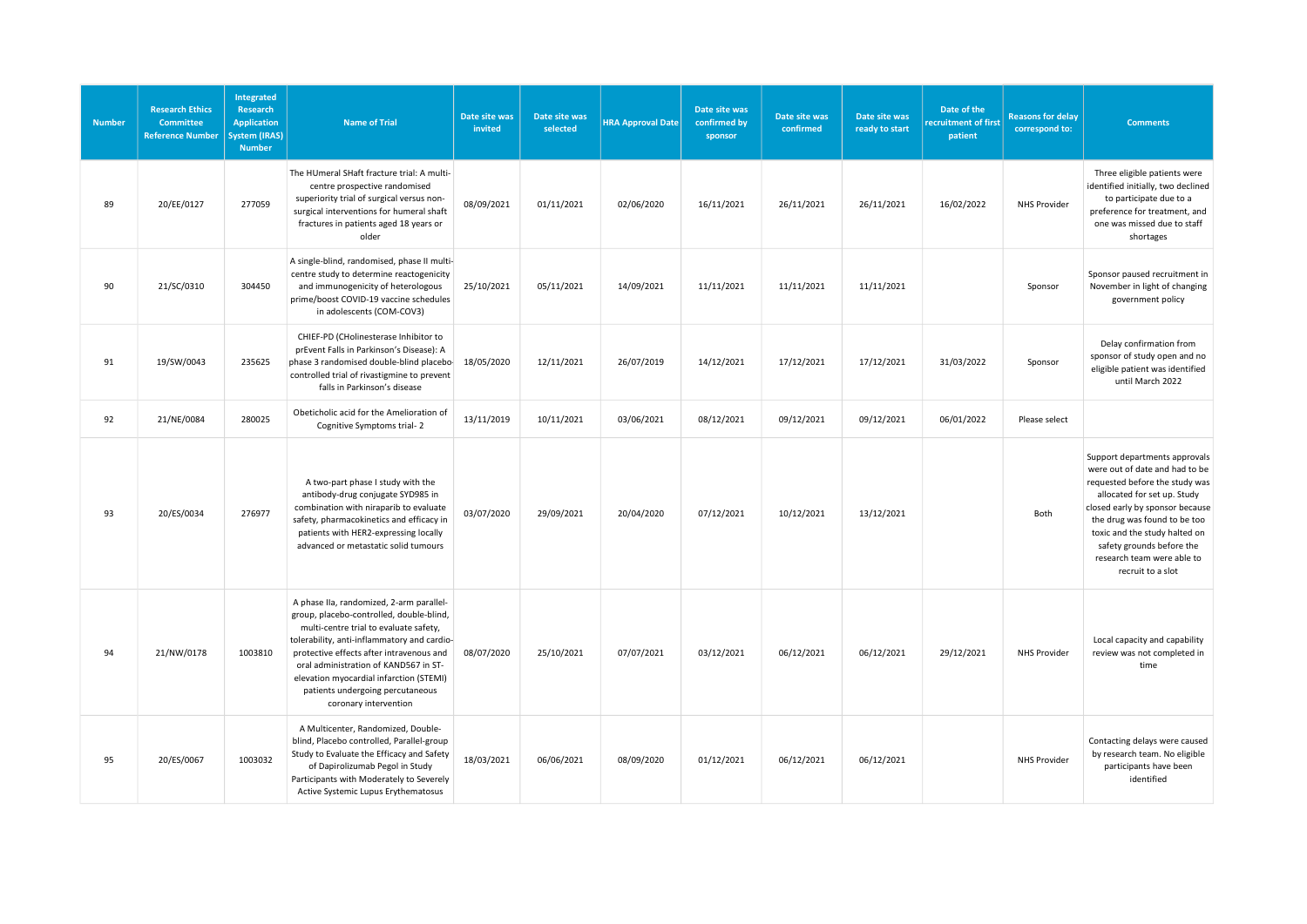| <b>Number</b> | <b>Research Ethics</b><br><b>Committee</b><br><b>Reference Number</b> | Integrated<br>Research<br><b>Application</b><br>System (IRAS)<br><b>Number</b> | <b>Name of Trial</b>                                                                                                                                                                                                                                                                                                                                                       | Date site was<br>invited | Date site was<br>selected | <b>HRA Approval Date</b> | Date site was<br>confirmed by<br>sponsor | Date site was<br>confirmed | Date site was<br>ready to start | Date of the<br>recruitment of first<br>patient | <b>Reasons for delay</b><br>correspond to: | <b>Comments</b>                                                                                                                                                                                                                                                                                                      |
|---------------|-----------------------------------------------------------------------|--------------------------------------------------------------------------------|----------------------------------------------------------------------------------------------------------------------------------------------------------------------------------------------------------------------------------------------------------------------------------------------------------------------------------------------------------------------------|--------------------------|---------------------------|--------------------------|------------------------------------------|----------------------------|---------------------------------|------------------------------------------------|--------------------------------------------|----------------------------------------------------------------------------------------------------------------------------------------------------------------------------------------------------------------------------------------------------------------------------------------------------------------------|
| 89            | 20/EE/0127                                                            | 277059                                                                         | The HUmeral SHaft fracture trial: A multi-<br>centre prospective randomised<br>superiority trial of surgical versus non-<br>surgical interventions for humeral shaft<br>fractures in patients aged 18 years or<br>older                                                                                                                                                    | 08/09/2021               | 01/11/2021                | 02/06/2020               | 16/11/2021                               | 26/11/2021                 | 26/11/2021                      | 16/02/2022                                     | <b>NHS Provider</b>                        | Three eligible patients were<br>identified initially, two declined<br>to participate due to a<br>preference for treatment, and<br>one was missed due to staff<br>shortages                                                                                                                                           |
| 90            | 21/SC/0310                                                            | 304450                                                                         | A single-blind, randomised, phase II multi-<br>centre study to determine reactogenicity<br>and immunogenicity of heterologous<br>prime/boost COVID-19 vaccine schedules<br>in adolescents (COM-COV3)                                                                                                                                                                       | 25/10/2021               | 05/11/2021                | 14/09/2021               | 11/11/2021                               | 11/11/2021                 | 11/11/2021                      |                                                | Sponsor                                    | Sponsor paused recruitment in<br>November in light of changing<br>government policy                                                                                                                                                                                                                                  |
| 91            | 19/SW/0043                                                            | 235625                                                                         | CHIEF-PD (CHolinesterase Inhibitor to<br>prEvent Falls in Parkinson's Disease): A<br>phase 3 randomised double-blind placebo-<br>controlled trial of rivastigmine to prevent<br>falls in Parkinson's disease                                                                                                                                                               | 18/05/2020               | 12/11/2021                | 26/07/2019               | 14/12/2021                               | 17/12/2021                 | 17/12/2021                      | 31/03/2022                                     | Sponsor                                    | Delay confirmation from<br>sponsor of study open and no<br>eligible patient was identified<br>until March 2022                                                                                                                                                                                                       |
| 92            | 21/NE/0084                                                            | 280025                                                                         | Obeticholic acid for the Amelioration of<br>Cognitive Symptoms trial-2                                                                                                                                                                                                                                                                                                     | 13/11/2019               | 10/11/2021                | 03/06/2021               | 08/12/2021                               | 09/12/2021                 | 09/12/2021                      | 06/01/2022                                     | Please select                              |                                                                                                                                                                                                                                                                                                                      |
| 93            | 20/ES/0034                                                            | 276977                                                                         | A two-part phase I study with the<br>antibody-drug conjugate SYD985 in<br>combination with niraparib to evaluate<br>safety, pharmacokinetics and efficacy in<br>patients with HER2-expressing locally<br>advanced or metastatic solid tumours                                                                                                                              | 03/07/2020               | 29/09/2021                | 20/04/2020               | 07/12/2021                               | 10/12/2021                 | 13/12/2021                      |                                                | Both                                       | Support departments approvals<br>were out of date and had to be<br>requested before the study was<br>allocated for set up. Study<br>closed early by sponsor because<br>the drug was found to be too<br>toxic and the study halted on<br>safety grounds before the<br>research team were able to<br>recruit to a slot |
| 94            | 21/NW/0178                                                            | 1003810                                                                        | A phase IIa, randomized, 2-arm parallel-<br>group, placebo-controlled, double-blind,<br>multi-centre trial to evaluate safety,<br>tolerability, anti-inflammatory and cardio-<br>protective effects after intravenous and<br>oral administration of KAND567 in ST-<br>elevation myocardial infarction (STEMI)<br>patients undergoing percutaneous<br>coronary intervention | 08/07/2020               | 25/10/2021                | 07/07/2021               | 03/12/2021                               | 06/12/2021                 | 06/12/2021                      | 29/12/2021                                     | <b>NHS Provider</b>                        | Local capacity and capability<br>review was not completed in<br>time                                                                                                                                                                                                                                                 |
| 95            | 20/ES/0067                                                            | 1003032                                                                        | A Multicenter, Randomized, Double-<br>blind, Placebo controlled, Parallel-group<br>Study to Evaluate the Efficacy and Safety<br>of Dapirolizumab Pegol in Study<br>Participants with Moderately to Severely<br>Active Systemic Lupus Erythematosus                                                                                                                         | 18/03/2021               | 06/06/2021                | 08/09/2020               | 01/12/2021                               | 06/12/2021                 | 06/12/2021                      |                                                | <b>NHS Provider</b>                        | Contacting delays were caused<br>by research team. No eligible<br>participants have been<br>identified                                                                                                                                                                                                               |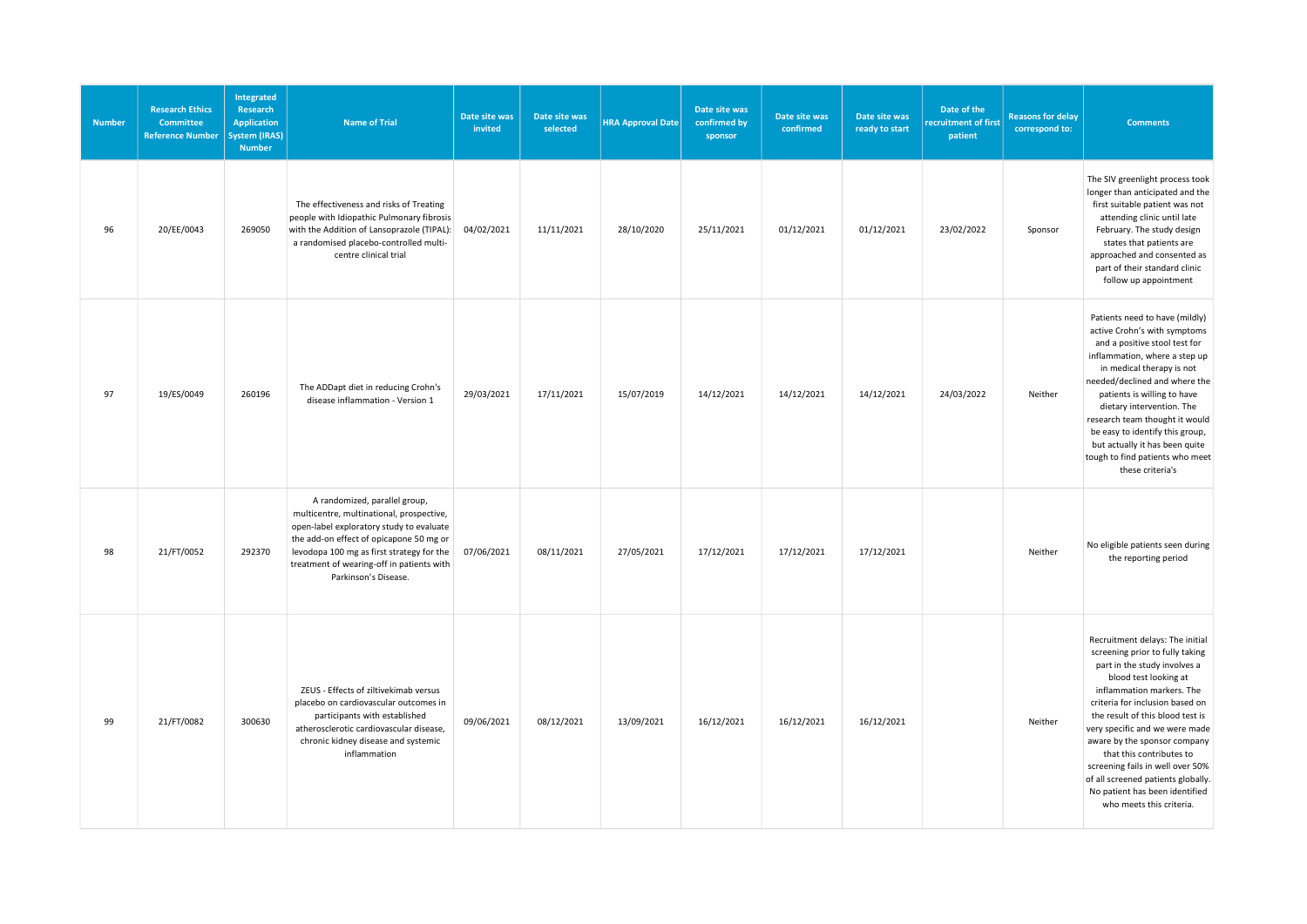| <b>Number</b> | <b>Research Ethics</b><br><b>Committee</b><br><b>Reference Number</b> | Integrated<br>Research<br><b>Application</b><br><b>System (IRAS)</b><br><b>Number</b> | <b>Name of Trial</b>                                                                                                                                                                                                                                                               | Date site was<br>invited | Date site was<br>selected | <b>HRA Approval Date</b> | Date site was<br>confirmed by<br>sponsor | Date site was<br>confirmed | Date site was<br>ready to start | Date of the<br>recruitment of first<br>patient | <b>Reasons for delay</b><br>correspond to: | <b>Comments</b>                                                                                                                                                                                                                                                                                                                                                                                                                                                       |
|---------------|-----------------------------------------------------------------------|---------------------------------------------------------------------------------------|------------------------------------------------------------------------------------------------------------------------------------------------------------------------------------------------------------------------------------------------------------------------------------|--------------------------|---------------------------|--------------------------|------------------------------------------|----------------------------|---------------------------------|------------------------------------------------|--------------------------------------------|-----------------------------------------------------------------------------------------------------------------------------------------------------------------------------------------------------------------------------------------------------------------------------------------------------------------------------------------------------------------------------------------------------------------------------------------------------------------------|
| 96            | 20/EE/0043                                                            | 269050                                                                                | The effectiveness and risks of Treating<br>people with Idiopathic Pulmonary fibrosis<br>with the Addition of Lansoprazole (TIPAL):<br>a randomised placebo-controlled multi-<br>centre clinical trial                                                                              | 04/02/2021               | 11/11/2021                | 28/10/2020               | 25/11/2021                               | 01/12/2021                 | 01/12/2021                      | 23/02/2022                                     | Sponsor                                    | The SIV greenlight process took<br>longer than anticipated and the<br>first suitable patient was not<br>attending clinic until late<br>February. The study design<br>states that patients are<br>approached and consented as<br>part of their standard clinic<br>follow up appointment                                                                                                                                                                                |
| 97            | 19/ES/0049                                                            | 260196                                                                                | The ADDapt diet in reducing Crohn's<br>disease inflammation - Version 1                                                                                                                                                                                                            | 29/03/2021               | 17/11/2021                | 15/07/2019               | 14/12/2021                               | 14/12/2021                 | 14/12/2021                      | 24/03/2022                                     | Neither                                    | Patients need to have (mildly)<br>active Crohn's with symptoms<br>and a positive stool test for<br>inflammation, where a step up<br>in medical therapy is not<br>needed/declined and where the<br>patients is willing to have<br>dietary intervention. The<br>research team thought it would<br>be easy to identify this group,<br>but actually it has been quite<br>tough to find patients who meet<br>these criteria's                                              |
| 98            | 21/FT/0052                                                            | 292370                                                                                | A randomized, parallel group,<br>multicentre, multinational, prospective,<br>open-label exploratory study to evaluate<br>the add-on effect of opicapone 50 mg or<br>levodopa 100 mg as first strategy for the<br>treatment of wearing-off in patients with<br>Parkinson's Disease. | 07/06/2021               | 08/11/2021                | 27/05/2021               | 17/12/2021                               | 17/12/2021                 | 17/12/2021                      |                                                | Neither                                    | No eligible patients seen during<br>the reporting period                                                                                                                                                                                                                                                                                                                                                                                                              |
| 99            | 21/FT/0082                                                            | 300630                                                                                | ZEUS - Effects of ziltivekimab versus<br>placebo on cardiovascular outcomes in<br>participants with established<br>atherosclerotic cardiovascular disease,<br>chronic kidney disease and systemic<br>inflammation                                                                  | 09/06/2021               | 08/12/2021                | 13/09/2021               | 16/12/2021                               | 16/12/2021                 | 16/12/2021                      |                                                | Neither                                    | Recruitment delays: The initial<br>screening prior to fully taking<br>part in the study involves a<br>blood test looking at<br>inflammation markers. The<br>criteria for inclusion based on<br>the result of this blood test is<br>very specific and we were made<br>aware by the sponsor company<br>that this contributes to<br>screening fails in well over 50%<br>of all screened patients globally.<br>No patient has been identified<br>who meets this criteria. |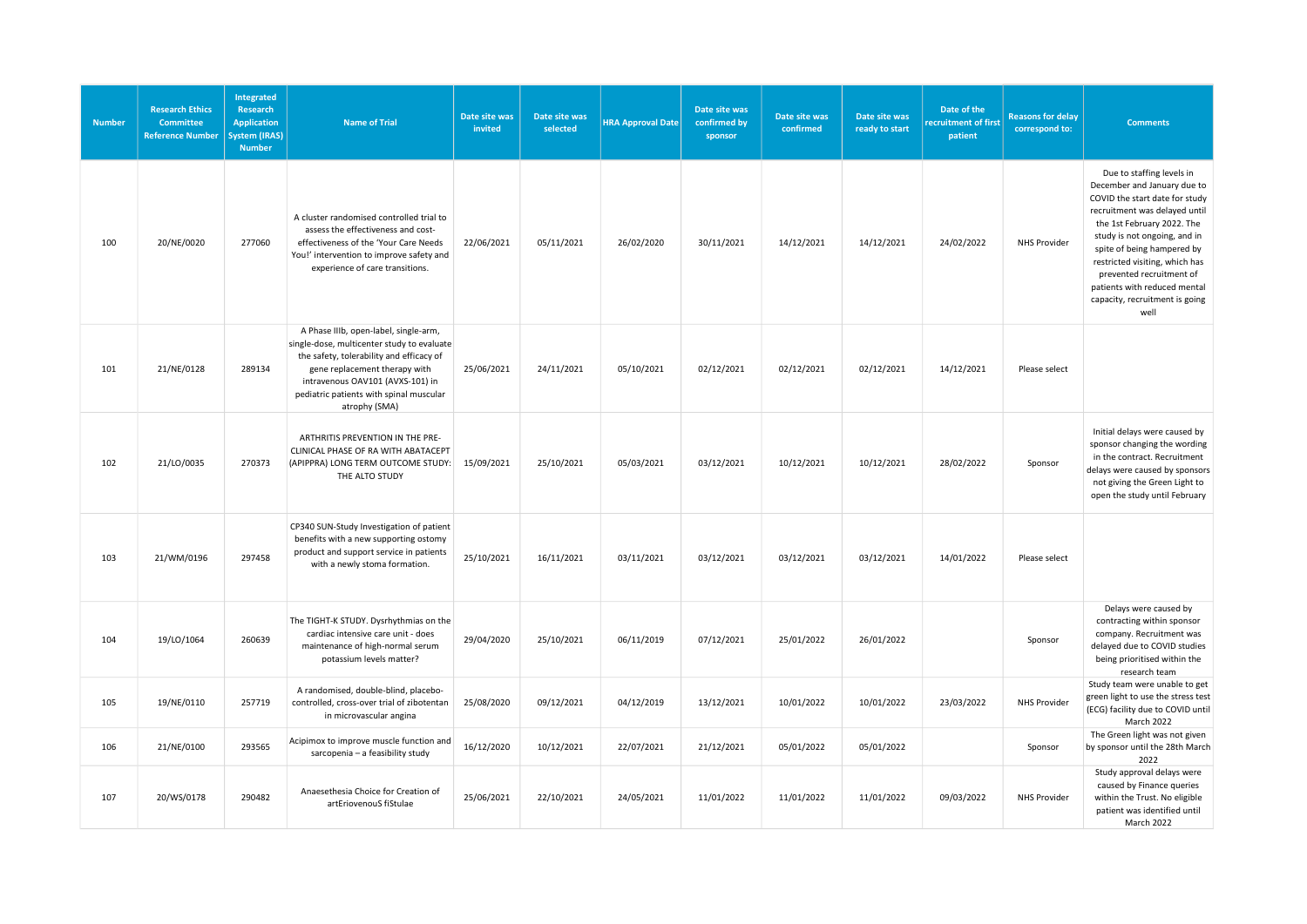| <b>Number</b> | <b>Research Ethics</b><br><b>Committee</b><br><b>Reference Number</b> | Integrated<br>Research<br><b>Application</b><br><b>System (IRAS)</b><br><b>Number</b> | <b>Name of Trial</b>                                                                                                                                                                                                                                             | Date site was<br>invited | Date site was<br>selected | <b>HRA Approval Date</b> | Date site was<br>confirmed by<br>sponsor | Date site was<br>confirmed | Date site was<br>ready to start | Date of the<br>recruitment of first<br>patient | <b>Reasons for delay</b><br>correspond to: | <b>Comments</b>                                                                                                                                                                                                                                                                                                                                                 |
|---------------|-----------------------------------------------------------------------|---------------------------------------------------------------------------------------|------------------------------------------------------------------------------------------------------------------------------------------------------------------------------------------------------------------------------------------------------------------|--------------------------|---------------------------|--------------------------|------------------------------------------|----------------------------|---------------------------------|------------------------------------------------|--------------------------------------------|-----------------------------------------------------------------------------------------------------------------------------------------------------------------------------------------------------------------------------------------------------------------------------------------------------------------------------------------------------------------|
| 100           | 20/NE/0020                                                            | 277060                                                                                | A cluster randomised controlled trial to<br>assess the effectiveness and cost-<br>effectiveness of the 'Your Care Needs<br>You!' intervention to improve safety and<br>experience of care transitions.                                                           | 22/06/2021               | 05/11/2021                | 26/02/2020               | 30/11/2021                               | 14/12/2021                 | 14/12/2021                      | 24/02/2022                                     | <b>NHS Provider</b>                        | Due to staffing levels in<br>December and January due to<br>COVID the start date for study<br>recruitment was delayed until<br>the 1st February 2022. The<br>study is not ongoing, and in<br>spite of being hampered by<br>restricted visiting, which has<br>prevented recruitment of<br>patients with reduced mental<br>capacity, recruitment is going<br>well |
| 101           | 21/NE/0128                                                            | 289134                                                                                | A Phase IIIb, open-label, single-arm,<br>single-dose, multicenter study to evaluate<br>the safety, tolerability and efficacy of<br>gene replacement therapy with<br>intravenous OAV101 (AVXS-101) in<br>pediatric patients with spinal muscular<br>atrophy (SMA) | 25/06/2021               | 24/11/2021                | 05/10/2021               | 02/12/2021                               | 02/12/2021                 | 02/12/2021                      | 14/12/2021                                     | Please select                              |                                                                                                                                                                                                                                                                                                                                                                 |
| 102           | 21/LO/0035                                                            | 270373                                                                                | ARTHRITIS PREVENTION IN THE PRE-<br>CLINICAL PHASE OF RA WITH ABATACEPT<br>(APIPPRA) LONG TERM OUTCOME STUDY:<br>THE ALTO STUDY                                                                                                                                  | 15/09/2021               | 25/10/2021                | 05/03/2021               | 03/12/2021                               | 10/12/2021                 | 10/12/2021                      | 28/02/2022                                     | Sponsor                                    | Initial delays were caused by<br>sponsor changing the wording<br>in the contract. Recruitment<br>delays were caused by sponsors<br>not giving the Green Light to<br>open the study until February                                                                                                                                                               |
| 103           | 21/WM/0196                                                            | 297458                                                                                | CP340 SUN-Study Investigation of patient<br>benefits with a new supporting ostomy<br>product and support service in patients<br>with a newly stoma formation.                                                                                                    | 25/10/2021               | 16/11/2021                | 03/11/2021               | 03/12/2021                               | 03/12/2021                 | 03/12/2021                      | 14/01/2022                                     | Please select                              |                                                                                                                                                                                                                                                                                                                                                                 |
| 104           | 19/LO/1064                                                            | 260639                                                                                | The TIGHT-K STUDY. Dysrhythmias on the<br>cardiac intensive care unit - does<br>maintenance of high-normal serum<br>potassium levels matter?                                                                                                                     | 29/04/2020               | 25/10/2021                | 06/11/2019               | 07/12/2021                               | 25/01/2022                 | 26/01/2022                      |                                                | Sponsor                                    | Delays were caused by<br>contracting within sponsor<br>company. Recruitment was<br>delayed due to COVID studies<br>being prioritised within the<br>research team                                                                                                                                                                                                |
| 105           | 19/NE/0110                                                            | 257719                                                                                | A randomised, double-blind, placebo-<br>controlled, cross-over trial of zibotentan<br>in microvascular angina                                                                                                                                                    | 25/08/2020               | 09/12/2021                | 04/12/2019               | 13/12/2021                               | 10/01/2022                 | 10/01/2022                      | 23/03/2022                                     | <b>NHS Provider</b>                        | Study team were unable to get<br>green light to use the stress test<br>(ECG) facility due to COVID until<br>March 2022                                                                                                                                                                                                                                          |
| 106           | 21/NE/0100                                                            | 293565                                                                                | Acipimox to improve muscle function and<br>sarcopenia - a feasibility study                                                                                                                                                                                      | 16/12/2020               | 10/12/2021                | 22/07/2021               | 21/12/2021                               | 05/01/2022                 | 05/01/2022                      |                                                | Sponsor                                    | The Green light was not given<br>by sponsor until the 28th March<br>2022                                                                                                                                                                                                                                                                                        |
| 107           | 20/WS/0178                                                            | 290482                                                                                | Anaesethesia Choice for Creation of<br>artEriovenouS fiStulae                                                                                                                                                                                                    | 25/06/2021               | 22/10/2021                | 24/05/2021               | 11/01/2022                               | 11/01/2022                 | 11/01/2022                      | 09/03/2022                                     | <b>NHS Provider</b>                        | Study approval delays were<br>caused by Finance queries<br>within the Trust. No eligible<br>patient was identified until<br>March 2022                                                                                                                                                                                                                          |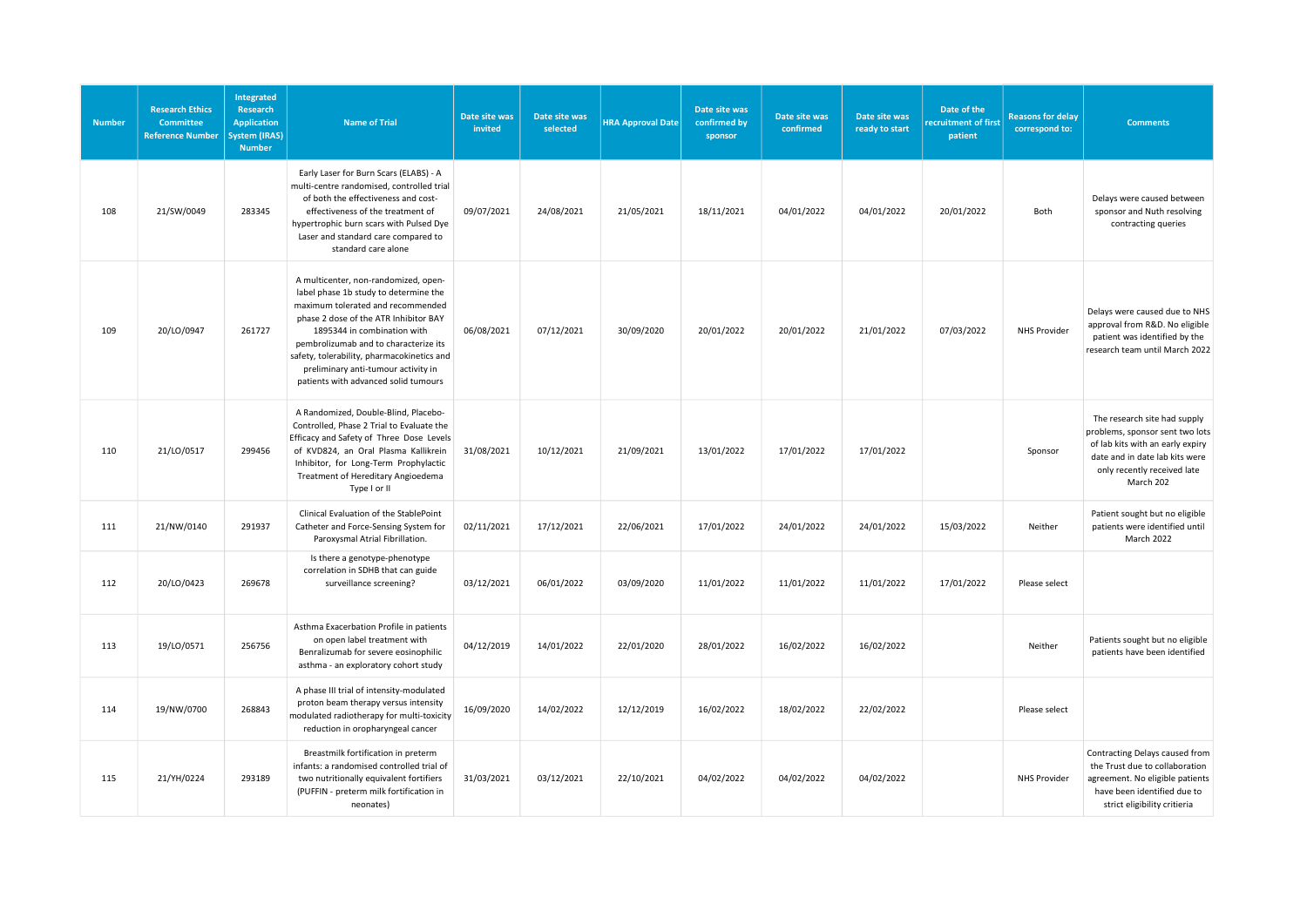| <b>Number</b> | <b>Research Ethics</b><br><b>Committee</b><br><b>Reference Number</b> | Integrated<br>Research<br><b>Application</b><br>System (IRAS)<br><b>Number</b> | <b>Name of Trial</b>                                                                                                                                                                                                                                                                                                                                             | Date site was<br>invited | Date site was<br>selected | <b>HRA Approval Date</b> | Date site was<br>confirmed by<br>sponsor | Date site was<br>confirmed | Date site was<br>ready to start | Date of the<br>recruitment of first<br>patient | <b>Reasons for delay</b><br>correspond to: | <b>Comments</b>                                                                                                                                                                   |
|---------------|-----------------------------------------------------------------------|--------------------------------------------------------------------------------|------------------------------------------------------------------------------------------------------------------------------------------------------------------------------------------------------------------------------------------------------------------------------------------------------------------------------------------------------------------|--------------------------|---------------------------|--------------------------|------------------------------------------|----------------------------|---------------------------------|------------------------------------------------|--------------------------------------------|-----------------------------------------------------------------------------------------------------------------------------------------------------------------------------------|
| 108           | 21/SW/0049                                                            | 283345                                                                         | Early Laser for Burn Scars (ELABS) - A<br>multi-centre randomised, controlled trial<br>of both the effectiveness and cost-<br>effectiveness of the treatment of<br>hypertrophic burn scars with Pulsed Dye<br>Laser and standard care compared to<br>standard care alone                                                                                         | 09/07/2021               | 24/08/2021                | 21/05/2021               | 18/11/2021                               | 04/01/2022                 | 04/01/2022                      | 20/01/2022                                     | Both                                       | Delays were caused between<br>sponsor and Nuth resolving<br>contracting queries                                                                                                   |
| 109           | 20/LO/0947                                                            | 261727                                                                         | A multicenter, non-randomized, open-<br>label phase 1b study to determine the<br>maximum tolerated and recommended<br>phase 2 dose of the ATR Inhibitor BAY<br>1895344 in combination with<br>pembrolizumab and to characterize its<br>safety, tolerability, pharmacokinetics and<br>preliminary anti-tumour activity in<br>patients with advanced solid tumours | 06/08/2021               | 07/12/2021                | 30/09/2020               | 20/01/2022                               | 20/01/2022                 | 21/01/2022                      | 07/03/2022                                     | <b>NHS Provider</b>                        | Delays were caused due to NHS<br>approval from R&D. No eligible<br>patient was identified by the<br>research team until March 2022                                                |
| 110           | 21/LO/0517                                                            | 299456                                                                         | A Randomized, Double-Blind, Placebo-<br>Controlled, Phase 2 Trial to Evaluate the<br>Efficacy and Safety of Three Dose Levels<br>of KVD824, an Oral Plasma Kallikrein<br>Inhibitor, for Long-Term Prophylactic<br>Treatment of Hereditary Angioedema<br>Type I or II                                                                                             | 31/08/2021               | 10/12/2021                | 21/09/2021               | 13/01/2022                               | 17/01/2022                 | 17/01/2022                      |                                                | Sponsor                                    | The research site had supply<br>problems, sponsor sent two lots<br>of lab kits with an early expiry<br>date and in date lab kits were<br>only recently received late<br>March 202 |
| 111           | 21/NW/0140                                                            | 291937                                                                         | Clinical Evaluation of the StablePoint<br>Catheter and Force-Sensing System for<br>Paroxysmal Atrial Fibrillation.                                                                                                                                                                                                                                               | 02/11/2021               | 17/12/2021                | 22/06/2021               | 17/01/2022                               | 24/01/2022                 | 24/01/2022                      | 15/03/2022                                     | Neither                                    | Patient sought but no eligible<br>patients were identified until<br>March 2022                                                                                                    |
| 112           | 20/LO/0423                                                            | 269678                                                                         | Is there a genotype-phenotype<br>correlation in SDHB that can guide<br>surveillance screening?                                                                                                                                                                                                                                                                   | 03/12/2021               | 06/01/2022                | 03/09/2020               | 11/01/2022                               | 11/01/2022                 | 11/01/2022                      | 17/01/2022                                     | Please select                              |                                                                                                                                                                                   |
| 113           | 19/LO/0571                                                            | 256756                                                                         | Asthma Exacerbation Profile in patients<br>on open label treatment with<br>Benralizumab for severe eosinophilic<br>asthma - an exploratory cohort study                                                                                                                                                                                                          | 04/12/2019               | 14/01/2022                | 22/01/2020               | 28/01/2022                               | 16/02/2022                 | 16/02/2022                      |                                                | Neither                                    | Patients sought but no eligible<br>patients have been identified                                                                                                                  |
| 114           | 19/NW/0700                                                            | 268843                                                                         | A phase III trial of intensity-modulated<br>proton beam therapy versus intensity<br>modulated radiotherapy for multi-toxicity<br>reduction in oropharyngeal cancer                                                                                                                                                                                               | 16/09/2020               | 14/02/2022                | 12/12/2019               | 16/02/2022                               | 18/02/2022                 | 22/02/2022                      |                                                | Please select                              |                                                                                                                                                                                   |
| 115           | 21/YH/0224                                                            | 293189                                                                         | Breastmilk fortification in preterm<br>infants: a randomised controlled trial of<br>two nutritionally equivalent fortifiers<br>(PUFFIN - preterm milk fortification in<br>neonates)                                                                                                                                                                              | 31/03/2021               | 03/12/2021                | 22/10/2021               | 04/02/2022                               | 04/02/2022                 | 04/02/2022                      |                                                | <b>NHS Provider</b>                        | Contracting Delays caused from<br>the Trust due to collaboration<br>agreement. No eligible patients<br>have been identified due to<br>strict eligibility critieria                |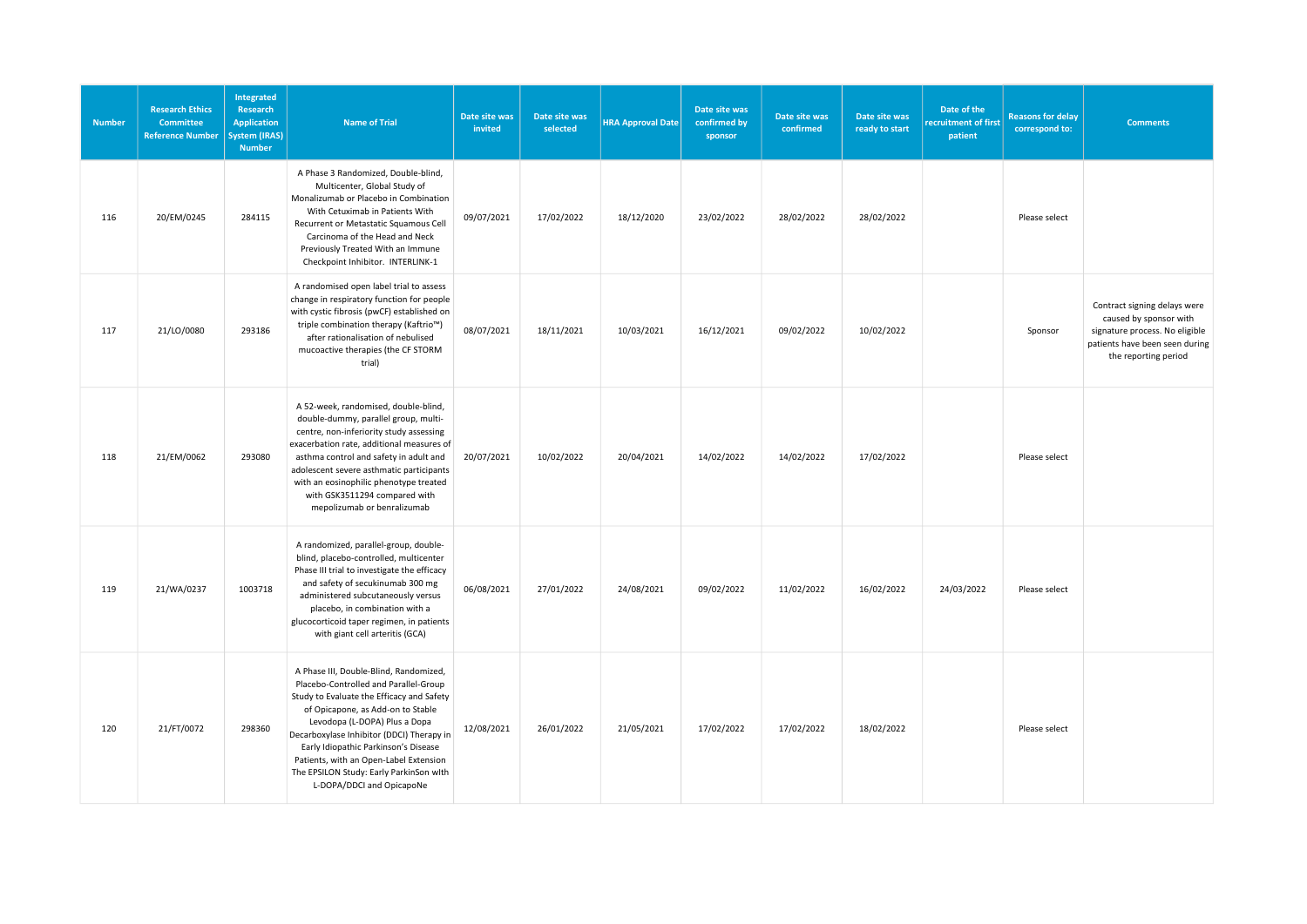| <b>Number</b> | <b>Research Ethics</b><br><b>Committee</b><br><b>Reference Number</b> | Integrated<br>Research<br><b>Application</b><br><b>System (IRAS)</b><br><b>Number</b> | <b>Name of Trial</b>                                                                                                                                                                                                                                                                                                                                                                                      | Date site was<br>invited | Date site was<br>selected | <b>HRA Approval Date</b> | Date site was<br>confirmed by<br>sponsor | Date site was<br>confirmed | Date site was<br>ready to start | Date of the<br>recruitment of first<br>patient | <b>Reasons for delay</b><br>correspond to: | <b>Comments</b>                                                                                                                                    |
|---------------|-----------------------------------------------------------------------|---------------------------------------------------------------------------------------|-----------------------------------------------------------------------------------------------------------------------------------------------------------------------------------------------------------------------------------------------------------------------------------------------------------------------------------------------------------------------------------------------------------|--------------------------|---------------------------|--------------------------|------------------------------------------|----------------------------|---------------------------------|------------------------------------------------|--------------------------------------------|----------------------------------------------------------------------------------------------------------------------------------------------------|
| 116           | 20/EM/0245                                                            | 284115                                                                                | A Phase 3 Randomized, Double-blind,<br>Multicenter, Global Study of<br>Monalizumab or Placebo in Combination<br>With Cetuximab in Patients With<br>Recurrent or Metastatic Squamous Cell<br>Carcinoma of the Head and Neck<br>Previously Treated With an Immune<br>Checkpoint Inhibitor. INTERLINK-1                                                                                                      | 09/07/2021               | 17/02/2022                | 18/12/2020               | 23/02/2022                               | 28/02/2022                 | 28/02/2022                      |                                                | Please select                              |                                                                                                                                                    |
| 117           | 21/LO/0080                                                            | 293186                                                                                | A randomised open label trial to assess<br>change in respiratory function for people<br>with cystic fibrosis (pwCF) established on<br>triple combination therapy (Kaftrio™)<br>after rationalisation of nebulised<br>mucoactive therapies (the CF STORM<br>trial)                                                                                                                                         | 08/07/2021               | 18/11/2021                | 10/03/2021               | 16/12/2021                               | 09/02/2022                 | 10/02/2022                      |                                                | Sponsor                                    | Contract signing delays were<br>caused by sponsor with<br>signature process. No eligible<br>patients have been seen during<br>the reporting period |
| 118           | 21/EM/0062                                                            | 293080                                                                                | A 52-week, randomised, double-blind,<br>double-dummy, parallel group, multi-<br>centre, non-inferiority study assessing<br>exacerbation rate, additional measures of<br>asthma control and safety in adult and<br>adolescent severe asthmatic participants<br>with an eosinophilic phenotype treated<br>with GSK3511294 compared with<br>mepolizumab or benralizumab                                      | 20/07/2021               | 10/02/2022                | 20/04/2021               | 14/02/2022                               | 14/02/2022                 | 17/02/2022                      |                                                | Please select                              |                                                                                                                                                    |
| 119           | 21/WA/0237                                                            | 1003718                                                                               | A randomized, parallel-group, double-<br>blind, placebo-controlled, multicenter<br>Phase III trial to investigate the efficacy<br>and safety of secukinumab 300 mg<br>administered subcutaneously versus<br>placebo, in combination with a<br>glucocorticoid taper regimen, in patients<br>with giant cell arteritis (GCA)                                                                                | 06/08/2021               | 27/01/2022                | 24/08/2021               | 09/02/2022                               | 11/02/2022                 | 16/02/2022                      | 24/03/2022                                     | Please select                              |                                                                                                                                                    |
| 120           | 21/FT/0072                                                            | 298360                                                                                | A Phase III, Double-Blind, Randomized,<br>Placebo-Controlled and Parallel-Group<br>Study to Evaluate the Efficacy and Safety<br>of Opicapone, as Add-on to Stable<br>Levodopa (L-DOPA) Plus a Dopa<br>Decarboxylase Inhibitor (DDCI) Therapy in<br>Early Idiopathic Parkinson's Disease<br>Patients, with an Open-Label Extension<br>The EPSILON Study: Early ParkinSon with<br>L-DOPA/DDCI and OpicapoNe | 12/08/2021               | 26/01/2022                | 21/05/2021               | 17/02/2022                               | 17/02/2022                 | 18/02/2022                      |                                                | Please select                              |                                                                                                                                                    |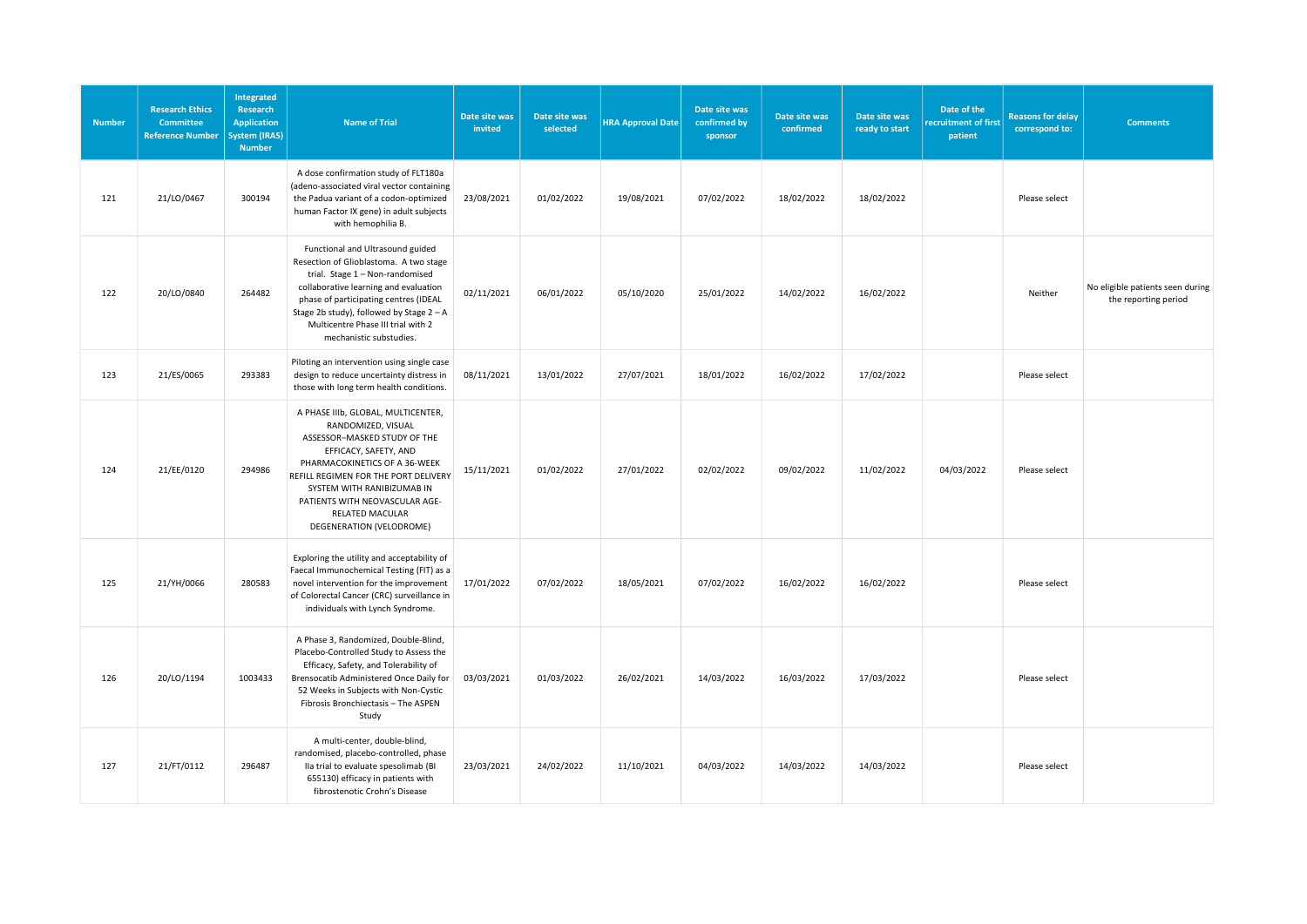| <b>Number</b> | <b>Research Ethics</b><br><b>Committee</b><br><b>Reference Number</b> | Integrated<br>Research<br><b>Application</b><br><b>System (IRAS)</b><br><b>Number</b> | <b>Name of Trial</b>                                                                                                                                                                                                                                                                                         | Date site was<br>invited | Date site was<br>selected | <b>HRA Approval Date</b> | Date site was<br>confirmed by<br>sponsor | Date site was<br>confirmed | Date site was<br>ready to start | Date of the<br>recruitment of first<br>patient | <b>Reasons for delay</b><br>correspond to: | <b>Comments</b>                                          |
|---------------|-----------------------------------------------------------------------|---------------------------------------------------------------------------------------|--------------------------------------------------------------------------------------------------------------------------------------------------------------------------------------------------------------------------------------------------------------------------------------------------------------|--------------------------|---------------------------|--------------------------|------------------------------------------|----------------------------|---------------------------------|------------------------------------------------|--------------------------------------------|----------------------------------------------------------|
| 121           | 21/LO/0467                                                            | 300194                                                                                | A dose confirmation study of FLT180a<br>(adeno-associated viral vector containing<br>the Padua variant of a codon-optimized<br>human Factor IX gene) in adult subjects<br>with hemophilia B.                                                                                                                 | 23/08/2021               | 01/02/2022                | 19/08/2021               | 07/02/2022                               | 18/02/2022                 | 18/02/2022                      |                                                | Please select                              |                                                          |
| 122           | 20/LO/0840                                                            | 264482                                                                                | Functional and Ultrasound guided<br>Resection of Glioblastoma. A two stage<br>trial. Stage 1 - Non-randomised<br>collaborative learning and evaluation<br>phase of participating centres (IDEAL<br>Stage 2b study), followed by Stage 2 - A<br>Multicentre Phase III trial with 2<br>mechanistic substudies. | 02/11/2021               | 06/01/2022                | 05/10/2020               | 25/01/2022                               | 14/02/2022                 | 16/02/2022                      |                                                | Neither                                    | No eligible patients seen during<br>the reporting period |
| 123           | 21/ES/0065                                                            | 293383                                                                                | Piloting an intervention using single case<br>design to reduce uncertainty distress in<br>those with long term health conditions.                                                                                                                                                                            | 08/11/2021               | 13/01/2022                | 27/07/2021               | 18/01/2022                               | 16/02/2022                 | 17/02/2022                      |                                                | Please select                              |                                                          |
| 124           | 21/EE/0120                                                            | 294986                                                                                | A PHASE IIIb, GLOBAL, MULTICENTER,<br>RANDOMIZED, VISUAL<br>ASSESSOR-MASKED STUDY OF THE<br>EFFICACY, SAFETY, AND<br>PHARMACOKINETICS OF A 36-WEEK<br>REFILL REGIMEN FOR THE PORT DELIVERY<br>SYSTEM WITH RANIBIZUMAB IN<br>PATIENTS WITH NEOVASCULAR AGE-<br>RELATED MACULAR<br>DEGENERATION (VELODROME)    | 15/11/2021               | 01/02/2022                | 27/01/2022               | 02/02/2022                               | 09/02/2022                 | 11/02/2022                      | 04/03/2022                                     | Please select                              |                                                          |
| 125           | 21/YH/0066                                                            | 280583                                                                                | Exploring the utility and acceptability of<br>Faecal Immunochemical Testing (FIT) as a<br>novel intervention for the improvement<br>of Colorectal Cancer (CRC) surveillance in<br>individuals with Lynch Syndrome.                                                                                           | 17/01/2022               | 07/02/2022                | 18/05/2021               | 07/02/2022                               | 16/02/2022                 | 16/02/2022                      |                                                | Please select                              |                                                          |
| 126           | 20/LO/1194                                                            | 1003433                                                                               | A Phase 3, Randomized, Double-Blind,<br>Placebo-Controlled Study to Assess the<br>Efficacy, Safety, and Tolerability of<br>Brensocatib Administered Once Daily for<br>52 Weeks in Subjects with Non-Cystic<br>Fibrosis Bronchiectasis - The ASPEN<br>Study                                                   | 03/03/2021               | 01/03/2022                | 26/02/2021               | 14/03/2022                               | 16/03/2022                 | 17/03/2022                      |                                                | Please select                              |                                                          |
| 127           | 21/FT/0112                                                            | 296487                                                                                | A multi-center, double-blind,<br>randomised, placebo-controlled, phase<br>Ila trial to evaluate spesolimab (BI<br>655130) efficacy in patients with<br>fibrostenotic Crohn's Disease                                                                                                                         | 23/03/2021               | 24/02/2022                | 11/10/2021               | 04/03/2022                               | 14/03/2022                 | 14/03/2022                      |                                                | Please select                              |                                                          |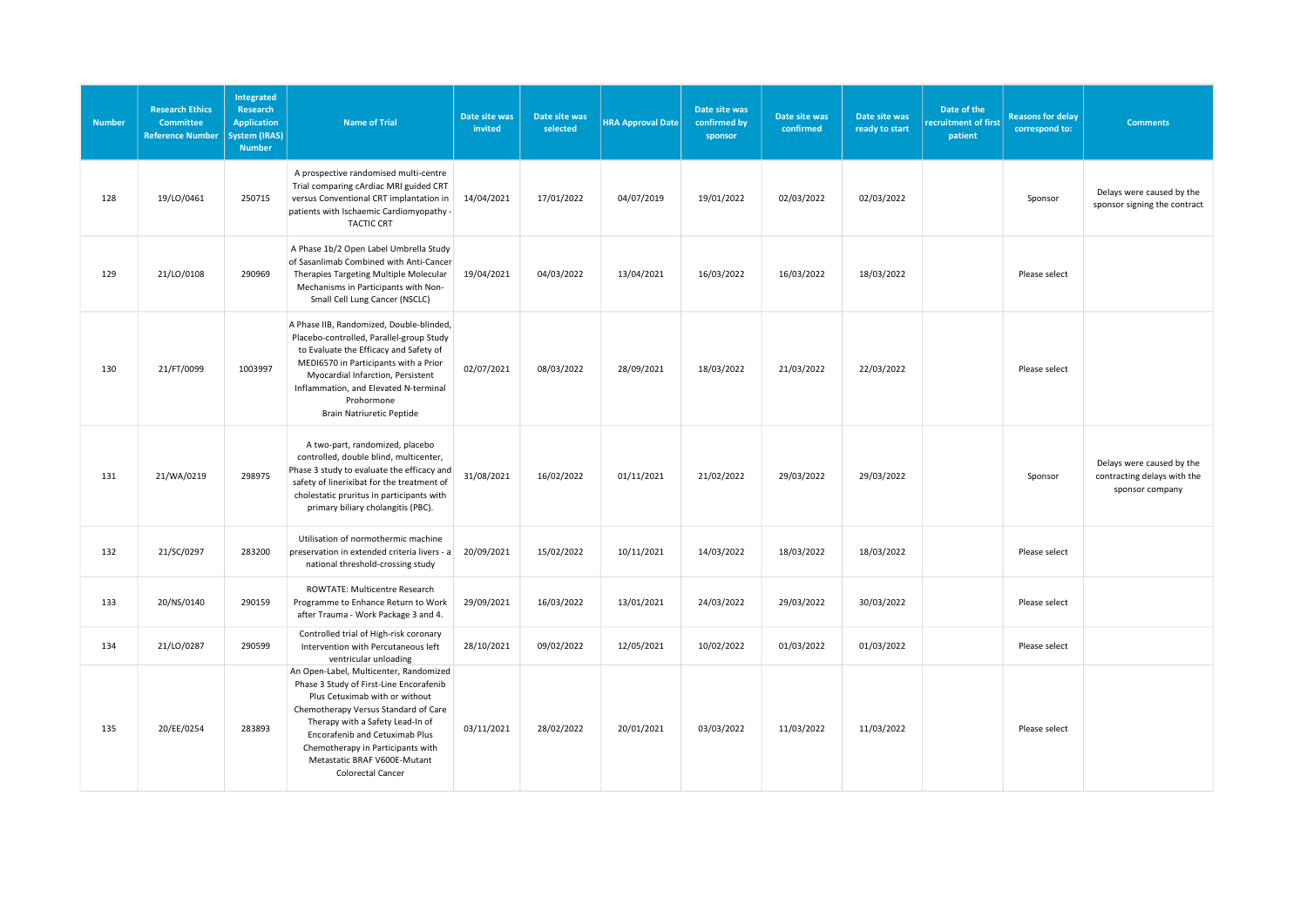| <b>Number</b> | <b>Research Ethics</b><br><b>Committee</b><br><b>Reference Number</b> | Integrated<br>Research<br><b>Application</b><br><b>System (IRAS)</b><br><b>Number</b> | <b>Name of Trial</b>                                                                                                                                                                                                                                                                                                        | Date site was<br>invited | Date site was<br>selected | <b>HRA Approval Date</b> | Date site was<br>confirmed by<br>sponsor | Date site was<br>confirmed | Date site was<br>ready to start | Date of the<br>recruitment of first<br>patient | <b>Reasons for delay</b><br>correspond to: | <b>Comments</b>                                                             |
|---------------|-----------------------------------------------------------------------|---------------------------------------------------------------------------------------|-----------------------------------------------------------------------------------------------------------------------------------------------------------------------------------------------------------------------------------------------------------------------------------------------------------------------------|--------------------------|---------------------------|--------------------------|------------------------------------------|----------------------------|---------------------------------|------------------------------------------------|--------------------------------------------|-----------------------------------------------------------------------------|
| 128           | 19/LO/0461                                                            | 250715                                                                                | A prospective randomised multi-centre<br>Trial comparing cArdiac MRI guided CRT<br>versus Conventional CRT implantation in<br>patients with Ischaemic Cardiomyopathy -<br><b>TACTIC CRT</b>                                                                                                                                 | 14/04/2021               | 17/01/2022                | 04/07/2019               | 19/01/2022                               | 02/03/2022                 | 02/03/2022                      |                                                | Sponsor                                    | Delays were caused by the<br>sponsor signing the contract                   |
| 129           | 21/LO/0108                                                            | 290969                                                                                | A Phase 1b/2 Open Label Umbrella Study<br>of Sasanlimab Combined with Anti-Cancer<br>Therapies Targeting Multiple Molecular<br>Mechanisms in Participants with Non-<br>Small Cell Lung Cancer (NSCLC)                                                                                                                       | 19/04/2021               | 04/03/2022                | 13/04/2021               | 16/03/2022                               | 16/03/2022                 | 18/03/2022                      |                                                | Please select                              |                                                                             |
| 130           | 21/FT/0099                                                            | 1003997                                                                               | A Phase IIB, Randomized, Double-blinded,<br>Placebo-controlled, Parallel-group Study<br>to Evaluate the Efficacy and Safety of<br>MEDI6570 in Participants with a Prior<br>Myocardial Infarction, Persistent<br>Inflammation, and Elevated N-terminal<br>Prohormone<br>Brain Natriuretic Peptide                            | 02/07/2021               | 08/03/2022                | 28/09/2021               | 18/03/2022                               | 21/03/2022                 | 22/03/2022                      |                                                | Please select                              |                                                                             |
| 131           | 21/WA/0219                                                            | 298975                                                                                | A two-part, randomized, placebo<br>controlled, double blind, multicenter,<br>Phase 3 study to evaluate the efficacy and<br>safety of linerixibat for the treatment of<br>cholestatic pruritus in participants with<br>primary biliary cholangitis (PBC).                                                                    | 31/08/2021               | 16/02/2022                | 01/11/2021               | 21/02/2022                               | 29/03/2022                 | 29/03/2022                      |                                                | Sponsor                                    | Delays were caused by the<br>contracting delays with the<br>sponsor company |
| 132           | 21/SC/0297                                                            | 283200                                                                                | Utilisation of normothermic machine<br>preservation in extended criteria livers - a<br>national threshold-crossing study                                                                                                                                                                                                    | 20/09/2021               | 15/02/2022                | 10/11/2021               | 14/03/2022                               | 18/03/2022                 | 18/03/2022                      |                                                | Please select                              |                                                                             |
| 133           | 20/NS/0140                                                            | 290159                                                                                | ROWTATE: Multicentre Research<br>Programme to Enhance Return to Work<br>after Trauma - Work Package 3 and 4.                                                                                                                                                                                                                | 29/09/2021               | 16/03/2022                | 13/01/2021               | 24/03/2022                               | 29/03/2022                 | 30/03/2022                      |                                                | Please select                              |                                                                             |
| 134           | 21/LO/0287                                                            | 290599                                                                                | Controlled trial of High-risk coronary<br>Intervention with Percutaneous left<br>ventricular unloading                                                                                                                                                                                                                      | 28/10/2021               | 09/02/2022                | 12/05/2021               | 10/02/2022                               | 01/03/2022                 | 01/03/2022                      |                                                | Please select                              |                                                                             |
| 135           | 20/EE/0254                                                            | 283893                                                                                | An Open-Label, Multicenter, Randomized<br>Phase 3 Study of First-Line Encorafenib<br>Plus Cetuximab with or without<br>Chemotherapy Versus Standard of Care<br>Therapy with a Safety Lead-In of<br>Encorafenib and Cetuximab Plus<br>Chemotherapy in Participants with<br>Metastatic BRAF V600E-Mutant<br>Colorectal Cancer | 03/11/2021               | 28/02/2022                | 20/01/2021               | 03/03/2022                               | 11/03/2022                 | 11/03/2022                      |                                                | Please select                              |                                                                             |